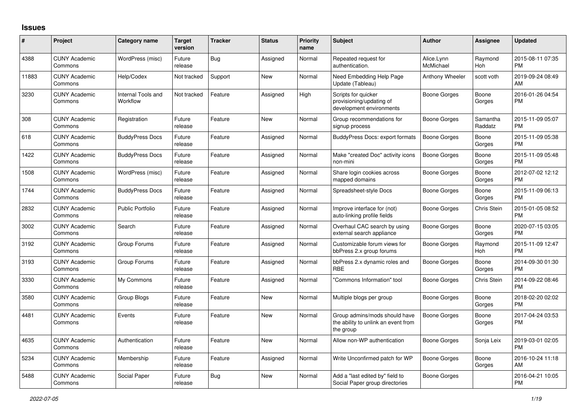## **Issues**

| #     | Project                         | Category name                  | <b>Target</b><br>version | <b>Tracker</b> | <b>Status</b> | Priority<br>name | <b>Subject</b>                                                                    | <b>Author</b>           | <b>Assignee</b>     | <b>Updated</b>                |
|-------|---------------------------------|--------------------------------|--------------------------|----------------|---------------|------------------|-----------------------------------------------------------------------------------|-------------------------|---------------------|-------------------------------|
| 4388  | <b>CUNY Academic</b><br>Commons | WordPress (misc)               | Future<br>release        | Bug            | Assigned      | Normal           | Repeated request for<br>authentication.                                           | Alice.Lynn<br>McMichael | Raymond<br>Hoh      | 2015-08-11 07:35<br><b>PM</b> |
| 11883 | <b>CUNY Academic</b><br>Commons | Help/Codex                     | Not tracked              | Support        | <b>New</b>    | Normal           | Need Embedding Help Page<br>Update (Tableau)                                      | Anthony Wheeler         | scott voth          | 2019-09-24 08:49<br>AM        |
| 3230  | <b>CUNY Academic</b><br>Commons | Internal Tools and<br>Workflow | Not tracked              | Feature        | Assigned      | High             | Scripts for quicker<br>provisioning/updating of<br>development environments       | Boone Gorges            | Boone<br>Gorges     | 2016-01-26 04:54<br><b>PM</b> |
| 308   | <b>CUNY Academic</b><br>Commons | Registration                   | Future<br>release        | Feature        | New           | Normal           | Group recommendations for<br>signup process                                       | Boone Gorges            | Samantha<br>Raddatz | 2015-11-09 05:07<br><b>PM</b> |
| 618   | <b>CUNY Academic</b><br>Commons | <b>BuddyPress Docs</b>         | Future<br>release        | Feature        | Assigned      | Normal           | <b>BuddyPress Docs: export formats</b>                                            | Boone Gorges            | Boone<br>Gorges     | 2015-11-09 05:38<br><b>PM</b> |
| 1422  | <b>CUNY Academic</b><br>Commons | <b>BuddyPress Docs</b>         | Future<br>release        | Feature        | Assigned      | Normal           | Make "created Doc" activity icons<br>non-mini                                     | <b>Boone Gorges</b>     | Boone<br>Gorges     | 2015-11-09 05:48<br><b>PM</b> |
| 1508  | <b>CUNY Academic</b><br>Commons | WordPress (misc)               | Future<br>release        | Feature        | Assigned      | Normal           | Share login cookies across<br>mapped domains                                      | Boone Gorges            | Boone<br>Gorges     | 2012-07-02 12:12<br><b>PM</b> |
| 1744  | <b>CUNY Academic</b><br>Commons | <b>BuddyPress Docs</b>         | Future<br>release        | Feature        | Assigned      | Normal           | Spreadsheet-style Docs                                                            | Boone Gorges            | Boone<br>Gorges     | 2015-11-09 06:13<br><b>PM</b> |
| 2832  | <b>CUNY Academic</b><br>Commons | <b>Public Portfolio</b>        | Future<br>release        | Feature        | Assigned      | Normal           | Improve interface for (not)<br>auto-linking profile fields                        | Boone Gorges            | Chris Stein         | 2015-01-05 08:52<br><b>PM</b> |
| 3002  | <b>CUNY Academic</b><br>Commons | Search                         | Future<br>release        | Feature        | Assigned      | Normal           | Overhaul CAC search by using<br>external search appliance                         | Boone Gorges            | Boone<br>Gorges     | 2020-07-15 03:05<br><b>PM</b> |
| 3192  | <b>CUNY Academic</b><br>Commons | Group Forums                   | Future<br>release        | Feature        | Assigned      | Normal           | Customizable forum views for<br>bbPress 2.x group forums                          | Boone Gorges            | Raymond<br>Hoh      | 2015-11-09 12:47<br><b>PM</b> |
| 3193  | <b>CUNY Academic</b><br>Commons | Group Forums                   | Future<br>release        | Feature        | Assigned      | Normal           | bbPress 2.x dynamic roles and<br><b>RBE</b>                                       | Boone Gorges            | Boone<br>Gorges     | 2014-09-30 01:30<br><b>PM</b> |
| 3330  | <b>CUNY Academic</b><br>Commons | My Commons                     | Future<br>release        | Feature        | Assigned      | Normal           | "Commons Information" tool                                                        | Boone Gorges            | Chris Stein         | 2014-09-22 08:46<br><b>PM</b> |
| 3580  | <b>CUNY Academic</b><br>Commons | Group Blogs                    | Future<br>release        | Feature        | <b>New</b>    | Normal           | Multiple blogs per group                                                          | Boone Gorges            | Boone<br>Gorges     | 2018-02-20 02:02<br><b>PM</b> |
| 4481  | <b>CUNY Academic</b><br>Commons | Events                         | Future<br>release        | Feature        | <b>New</b>    | Normal           | Group admins/mods should have<br>the ability to unlink an event from<br>the group | Boone Gorges            | Boone<br>Gorges     | 2017-04-24 03:53<br><b>PM</b> |
| 4635  | <b>CUNY Academic</b><br>Commons | Authentication                 | Future<br>release        | Feature        | <b>New</b>    | Normal           | Allow non-WP authentication                                                       | Boone Gorges            | Sonja Leix          | 2019-03-01 02:05<br><b>PM</b> |
| 5234  | <b>CUNY Academic</b><br>Commons | Membership                     | Future<br>release        | Feature        | Assigned      | Normal           | Write Unconfirmed patch for WP                                                    | Boone Gorges            | Boone<br>Gorges     | 2016-10-24 11:18<br>AM        |
| 5488  | <b>CUNY Academic</b><br>Commons | Social Paper                   | Future<br>release        | Bug            | New           | Normal           | Add a "last edited by" field to<br>Social Paper group directories                 | Boone Gorges            |                     | 2016-04-21 10:05<br><b>PM</b> |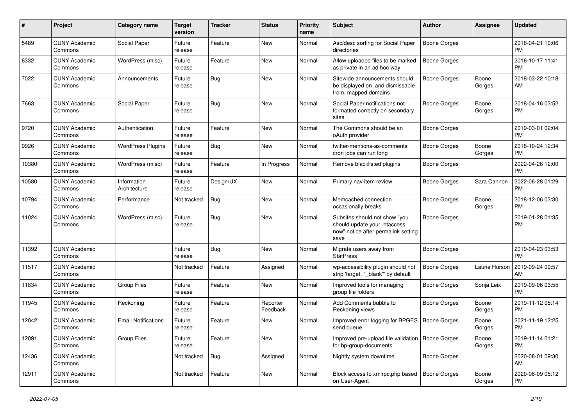| #     | Project                         | <b>Category name</b>        | <b>Target</b><br>version | <b>Tracker</b> | <b>Status</b>        | Priority<br>name | <b>Subject</b>                                                                                               | Author              | <b>Assignee</b> | <b>Updated</b>                |
|-------|---------------------------------|-----------------------------|--------------------------|----------------|----------------------|------------------|--------------------------------------------------------------------------------------------------------------|---------------------|-----------------|-------------------------------|
| 5489  | <b>CUNY Academic</b><br>Commons | Social Paper                | Future<br>release        | Feature        | <b>New</b>           | Normal           | Asc/desc sorting for Social Paper<br>directories                                                             | <b>Boone Gorges</b> |                 | 2016-04-21 10:06<br><b>PM</b> |
| 6332  | <b>CUNY Academic</b><br>Commons | WordPress (misc)            | Future<br>release        | Feature        | New                  | Normal           | Allow uploaded files to be marked<br>as private in an ad hoc way                                             | <b>Boone Gorges</b> |                 | 2016-10-17 11:41<br><b>PM</b> |
| 7022  | <b>CUNY Academic</b><br>Commons | Announcements               | Future<br>release        | Bug            | <b>New</b>           | Normal           | Sitewide announcements should<br>be displayed on, and dismissable<br>from, mapped domains                    | Boone Gorges        | Boone<br>Gorges | 2018-03-22 10:18<br>AM        |
| 7663  | <b>CUNY Academic</b><br>Commons | Social Paper                | Future<br>release        | Bug            | <b>New</b>           | Normal           | Social Paper notifications not<br>formatted correctly on secondary<br>sites                                  | <b>Boone Gorges</b> | Boone<br>Gorges | 2018-04-16 03:52<br><b>PM</b> |
| 9720  | <b>CUNY Academic</b><br>Commons | Authentication              | Future<br>release        | Feature        | New                  | Normal           | The Commons should be an<br>oAuth provider                                                                   | <b>Boone Gorges</b> |                 | 2019-03-01 02:04<br><b>PM</b> |
| 9926  | <b>CUNY Academic</b><br>Commons | <b>WordPress Plugins</b>    | Future<br>release        | Bug            | <b>New</b>           | Normal           | twitter-mentions-as-comments<br>cron jobs can run long                                                       | Boone Gorges        | Boone<br>Gorges | 2018-10-24 12:34<br><b>PM</b> |
| 10380 | <b>CUNY Academic</b><br>Commons | WordPress (misc)            | Future<br>release        | Feature        | In Progress          | Normal           | Remove blacklisted plugins                                                                                   | <b>Boone Gorges</b> |                 | 2022-04-26 12:00<br><b>PM</b> |
| 10580 | <b>CUNY Academic</b><br>Commons | Information<br>Architecture | Future<br>release        | Design/UX      | New                  | Normal           | Primary nav item review                                                                                      | <b>Boone Gorges</b> | Sara Cannon     | 2022-06-28 01:29<br><b>PM</b> |
| 10794 | <b>CUNY Academic</b><br>Commons | Performance                 | Not tracked              | Bug            | <b>New</b>           | Normal           | Memcached connection<br>occasionally breaks                                                                  | <b>Boone Gorges</b> | Boone<br>Gorges | 2018-12-06 03:30<br><b>PM</b> |
| 11024 | <b>CUNY Academic</b><br>Commons | WordPress (misc)            | Future<br>release        | Bug            | New                  | Normal           | Subsites should not show "you<br>should update your .htaccess<br>now" notice after permalink setting<br>save | <b>Boone Gorges</b> |                 | 2019-01-28 01:35<br><b>PM</b> |
| 11392 | <b>CUNY Academic</b><br>Commons |                             | Future<br>release        | Bug            | New                  | Normal           | Migrate users away from<br><b>StatPress</b>                                                                  | <b>Boone Gorges</b> |                 | 2019-04-23 03:53<br><b>PM</b> |
| 11517 | <b>CUNY Academic</b><br>Commons |                             | Not tracked              | Feature        | Assigned             | Normal           | wp-accessibility plugin should not<br>strip 'target="_blank"' by default                                     | <b>Boone Gorges</b> | Laurie Hurson   | 2019-09-24 09:57<br>AM        |
| 11834 | <b>CUNY Academic</b><br>Commons | <b>Group Files</b>          | Future<br>release        | Feature        | <b>New</b>           | Normal           | Improved tools for managing<br>group file folders                                                            | <b>Boone Gorges</b> | Sonja Leix      | 2019-09-06 03:55<br><b>PM</b> |
| 11945 | <b>CUNY Academic</b><br>Commons | Reckoning                   | Future<br>release        | Feature        | Reporter<br>Feedback | Normal           | Add Comments bubble to<br>Reckoning views                                                                    | <b>Boone Gorges</b> | Boone<br>Gorges | 2019-11-12 05:14<br><b>PM</b> |
| 12042 | <b>CUNY Academic</b><br>Commons | <b>Email Notifications</b>  | Future<br>release        | Feature        | New                  | Normal           | Improved error logging for BPGES<br>send queue                                                               | Boone Gorges        | Boone<br>Gorges | 2021-11-19 12:25<br><b>PM</b> |
| 12091 | <b>CUNY Academic</b><br>Commons | <b>Group Files</b>          | Future<br>release        | Feature        | New                  | Normal           | Improved pre-upload file validation   Boone Gorges<br>for bp-group-documents                                 |                     | Boone<br>Gorges | 2019-11-14 01:21<br><b>PM</b> |
| 12436 | <b>CUNY Academic</b><br>Commons |                             | Not tracked              | Bug            | Assigned             | Normal           | Nightly system downtime                                                                                      | <b>Boone Gorges</b> |                 | 2020-08-01 09:30<br>AM        |
| 12911 | <b>CUNY Academic</b><br>Commons |                             | Not tracked              | Feature        | New                  | Normal           | Block access to xmlrpc.php based<br>on User-Agent                                                            | Boone Gorges        | Boone<br>Gorges | 2020-06-09 05:12<br><b>PM</b> |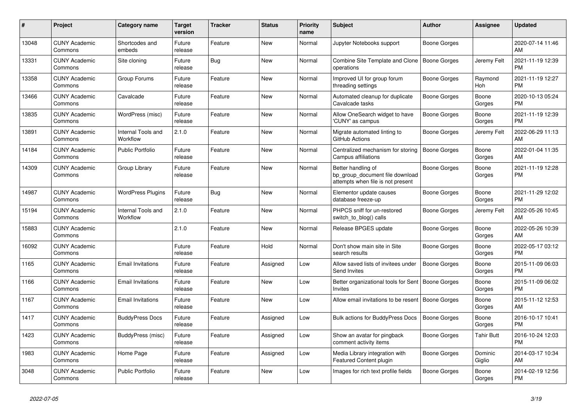| #     | Project                         | <b>Category name</b>           | <b>Target</b><br>version | <b>Tracker</b> | <b>Status</b> | Priority<br>name | <b>Subject</b>                                                                             | <b>Author</b>       | <b>Assignee</b>       | <b>Updated</b>                |
|-------|---------------------------------|--------------------------------|--------------------------|----------------|---------------|------------------|--------------------------------------------------------------------------------------------|---------------------|-----------------------|-------------------------------|
| 13048 | <b>CUNY Academic</b><br>Commons | Shortcodes and<br>embeds       | Future<br>release        | Feature        | New           | Normal           | Jupyter Notebooks support                                                                  | Boone Gorges        |                       | 2020-07-14 11:46<br>AM        |
| 13331 | <b>CUNY Academic</b><br>Commons | Site cloning                   | Future<br>release        | Bug            | New           | Normal           | Combine Site Template and Clone<br>operations                                              | Boone Gorges        | Jeremy Felt           | 2021-11-19 12:39<br><b>PM</b> |
| 13358 | <b>CUNY Academic</b><br>Commons | Group Forums                   | Future<br>release        | Feature        | <b>New</b>    | Normal           | Improved UI for group forum<br>threading settings                                          | Boone Gorges        | Raymond<br><b>Hoh</b> | 2021-11-19 12:27<br><b>PM</b> |
| 13466 | <b>CUNY Academic</b><br>Commons | Cavalcade                      | Future<br>release        | Feature        | <b>New</b>    | Normal           | Automated cleanup for duplicate<br>Cavalcade tasks                                         | Boone Gorges        | Boone<br>Gorges       | 2020-10-13 05:24<br><b>PM</b> |
| 13835 | <b>CUNY Academic</b><br>Commons | WordPress (misc)               | Future<br>release        | Feature        | <b>New</b>    | Normal           | Allow OneSearch widget to have<br>'CUNY' as campus                                         | <b>Boone Gorges</b> | Boone<br>Gorges       | 2021-11-19 12:39<br><b>PM</b> |
| 13891 | <b>CUNY Academic</b><br>Commons | Internal Tools and<br>Workflow | 2.1.0                    | Feature        | New           | Normal           | Migrate automated linting to<br>GitHub Actions                                             | Boone Gorges        | Jeremy Felt           | 2022-06-29 11:13<br>AM        |
| 14184 | <b>CUNY Academic</b><br>Commons | Public Portfolio               | Future<br>release        | Feature        | <b>New</b>    | Normal           | Centralized mechanism for storing<br>Campus affiliations                                   | <b>Boone Gorges</b> | Boone<br>Gorges       | 2022-01-04 11:35<br>AM        |
| 14309 | <b>CUNY Academic</b><br>Commons | Group Library                  | Future<br>release        | Feature        | <b>New</b>    | Normal           | Better handling of<br>bp group document file download<br>attempts when file is not present | Boone Gorges        | Boone<br>Gorges       | 2021-11-19 12:28<br>PM        |
| 14987 | <b>CUNY Academic</b><br>Commons | <b>WordPress Plugins</b>       | Future<br>release        | Bug            | <b>New</b>    | Normal           | Elementor update causes<br>database freeze-up                                              | Boone Gorges        | Boone<br>Gorges       | 2021-11-29 12:02<br><b>PM</b> |
| 15194 | <b>CUNY Academic</b><br>Commons | Internal Tools and<br>Workflow | 2.1.0                    | Feature        | <b>New</b>    | Normal           | PHPCS sniff for un-restored<br>switch to blog() calls                                      | <b>Boone Gorges</b> | Jeremy Felt           | 2022-05-26 10:45<br>AM        |
| 15883 | <b>CUNY Academic</b><br>Commons |                                | 2.1.0                    | Feature        | New           | Normal           | Release BPGES update                                                                       | Boone Gorges        | Boone<br>Gorges       | 2022-05-26 10:39<br>AM        |
| 16092 | <b>CUNY Academic</b><br>Commons |                                | Future<br>release        | Feature        | Hold          | Normal           | Don't show main site in Site<br>search results                                             | Boone Gorges        | Boone<br>Gorges       | 2022-05-17 03:12<br><b>PM</b> |
| 1165  | <b>CUNY Academic</b><br>Commons | <b>Email Invitations</b>       | Future<br>release        | Feature        | Assigned      | Low              | Allow saved lists of invitees under<br>Send Invites                                        | <b>Boone Gorges</b> | Boone<br>Gorges       | 2015-11-09 06:03<br><b>PM</b> |
| 1166  | <b>CUNY Academic</b><br>Commons | <b>Email Invitations</b>       | Future<br>release        | Feature        | New           | Low              | Better organizational tools for Sent<br><b>Invites</b>                                     | Boone Gorges        | Boone<br>Gorges       | 2015-11-09 06:02<br><b>PM</b> |
| 1167  | <b>CUNY Academic</b><br>Commons | Email Invitations              | Future<br>release        | Feature        | <b>New</b>    | Low              | Allow email invitations to be resent                                                       | Boone Gorges        | Boone<br>Gorges       | 2015-11-12 12:53<br>AM        |
| 1417  | <b>CUNY Academic</b><br>Commons | <b>BuddyPress Docs</b>         | Future<br>release        | Feature        | Assigned      | Low              | <b>Bulk actions for BuddyPress Docs</b>                                                    | <b>Boone Gorges</b> | Boone<br>Gorges       | 2016-10-17 10:41<br><b>PM</b> |
| 1423  | <b>CUNY Academic</b><br>Commons | BuddyPress (misc)              | Future<br>release        | Feature        | Assigned      | Low              | Show an avatar for pingback<br>comment activity items                                      | Boone Gorges        | Tahir Butt            | 2016-10-24 12:03<br><b>PM</b> |
| 1983  | <b>CUNY Academic</b><br>Commons | Home Page                      | Future<br>release        | Feature        | Assigned      | Low              | Media Library integration with<br><b>Featured Content plugin</b>                           | Boone Gorges        | Dominic<br>Giglio     | 2014-03-17 10:34<br>AM        |
| 3048  | <b>CUNY Academic</b><br>Commons | Public Portfolio               | Future<br>release        | Feature        | <b>New</b>    | Low              | Images for rich text profile fields                                                        | Boone Gorges        | Boone<br>Gorges       | 2014-02-19 12:56<br><b>PM</b> |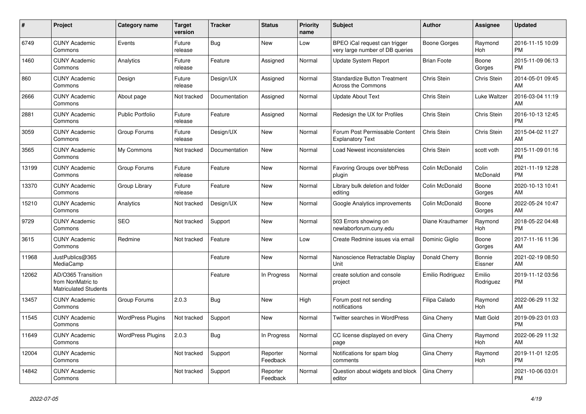| #     | <b>Project</b>                                                          | <b>Category name</b>     | <b>Target</b><br>version | <b>Tracker</b> | <b>Status</b>        | Priority<br>name | <b>Subject</b>                                                   | <b>Author</b>      | Assignee            | <b>Updated</b>                |
|-------|-------------------------------------------------------------------------|--------------------------|--------------------------|----------------|----------------------|------------------|------------------------------------------------------------------|--------------------|---------------------|-------------------------------|
| 6749  | <b>CUNY Academic</b><br>Commons                                         | Events                   | Future<br>release        | Bug            | <b>New</b>           | Low              | BPEO iCal request can trigger<br>very large number of DB queries | Boone Gorges       | Raymond<br>Hoh      | 2016-11-15 10:09<br><b>PM</b> |
| 1460  | <b>CUNY Academic</b><br>Commons                                         | Analytics                | Future<br>release        | Feature        | Assigned             | Normal           | <b>Update System Report</b>                                      | <b>Brian Foote</b> | Boone<br>Gorges     | 2015-11-09 06:13<br><b>PM</b> |
| 860   | <b>CUNY Academic</b><br>Commons                                         | Design                   | Future<br>release        | Design/UX      | Assigned             | Normal           | <b>Standardize Button Treatment</b><br><b>Across the Commons</b> | Chris Stein        | <b>Chris Stein</b>  | 2014-05-01 09:45<br>AM        |
| 2666  | <b>CUNY Academic</b><br>Commons                                         | About page               | Not tracked              | Documentation  | Assigned             | Normal           | <b>Update About Text</b>                                         | Chris Stein        | Luke Waltzer        | 2016-03-04 11:19<br>AM        |
| 2881  | <b>CUNY Academic</b><br>Commons                                         | <b>Public Portfolio</b>  | Future<br>release        | Feature        | Assigned             | Normal           | Redesign the UX for Profiles                                     | Chris Stein        | Chris Stein         | 2016-10-13 12:45<br><b>PM</b> |
| 3059  | <b>CUNY Academic</b><br>Commons                                         | Group Forums             | Future<br>release        | Design/UX      | New                  | Normal           | Forum Post Permissable Content<br><b>Explanatory Text</b>        | Chris Stein        | Chris Stein         | 2015-04-02 11:27<br>AM        |
| 3565  | <b>CUNY Academic</b><br>Commons                                         | My Commons               | Not tracked              | Documentation  | <b>New</b>           | Normal           | Load Newest inconsistencies                                      | Chris Stein        | scott voth          | 2015-11-09 01:16<br><b>PM</b> |
| 13199 | <b>CUNY Academic</b><br>Commons                                         | Group Forums             | Future<br>release        | Feature        | <b>New</b>           | Normal           | Favoring Groups over bbPress<br>plugin                           | Colin McDonald     | Colin<br>McDonald   | 2021-11-19 12:28<br><b>PM</b> |
| 13370 | <b>CUNY Academic</b><br>Commons                                         | Group Library            | Future<br>release        | Feature        | <b>New</b>           | Normal           | Library bulk deletion and folder<br>editing                      | Colin McDonald     | Boone<br>Gorges     | 2020-10-13 10:41<br>AM        |
| 15210 | <b>CUNY Academic</b><br>Commons                                         | Analytics                | Not tracked              | Design/UX      | New                  | Normal           | Google Analytics improvements                                    | Colin McDonald     | Boone<br>Gorges     | 2022-05-24 10:47<br>AM        |
| 9729  | <b>CUNY Academic</b><br>Commons                                         | <b>SEO</b>               | Not tracked              | Support        | <b>New</b>           | Normal           | 503 Errors showing on<br>newlaborforum.cuny.edu                  | Diane Krauthamer   | Raymond<br>Hoh      | 2018-05-22 04:48<br><b>PM</b> |
| 3615  | <b>CUNY Academic</b><br>Commons                                         | Redmine                  | Not tracked              | Feature        | New                  | Low              | Create Redmine issues via email                                  | Dominic Giglio     | Boone<br>Gorges     | 2017-11-16 11:36<br>AM        |
| 11968 | JustPublics@365<br>MediaCamp                                            |                          |                          | Feature        | New                  | Normal           | Nanoscience Retractable Display<br>Unit                          | Donald Cherry      | Bonnie<br>Eissner   | 2021-02-19 08:50<br>AM        |
| 12062 | AD/O365 Transition<br>from NonMatric to<br><b>Matriculated Students</b> |                          |                          | Feature        | In Progress          | Normal           | create solution and console<br>project                           | Emilio Rodriguez   | Emilio<br>Rodriguez | 2019-11-12 03:56<br><b>PM</b> |
| 13457 | <b>CUNY Academic</b><br>Commons                                         | Group Forums             | 2.0.3                    | Bug            | <b>New</b>           | High             | Forum post not sending<br>notifications                          | Filipa Calado      | Raymond<br>Hoh      | 2022-06-29 11:32<br>AM        |
| 11545 | <b>CUNY Academic</b><br>Commons                                         | <b>WordPress Plugins</b> | Not tracked              | Support        | <b>New</b>           | Normal           | Twitter searches in WordPress                                    | Gina Cherry        | Matt Gold           | 2019-09-23 01:03<br><b>PM</b> |
| 11649 | <b>CUNY Academic</b><br>Commons                                         | <b>WordPress Plugins</b> | 2.0.3                    | Bug            | In Progress          | Normal           | CC license displayed on every<br>page                            | Gina Cherry        | Raymond<br>Hoh      | 2022-06-29 11:32<br>AM        |
| 12004 | <b>CUNY Academic</b><br>Commons                                         |                          | Not tracked              | Support        | Reporter<br>Feedback | Normal           | Notifications for spam blog<br>comments                          | Gina Cherry        | Raymond<br>Hoh      | 2019-11-01 12:05<br><b>PM</b> |
| 14842 | <b>CUNY Academic</b><br>Commons                                         |                          | Not tracked              | Support        | Reporter<br>Feedback | Normal           | Question about widgets and block<br>editor                       | Gina Cherry        |                     | 2021-10-06 03:01<br><b>PM</b> |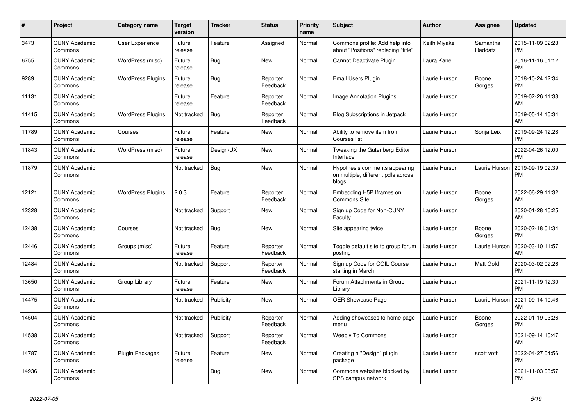| #     | Project                         | <b>Category name</b>     | <b>Target</b><br>version | <b>Tracker</b> | <b>Status</b>        | <b>Priority</b><br>name | <b>Subject</b>                                                               | <b>Author</b> | Assignee            | <b>Updated</b>                |
|-------|---------------------------------|--------------------------|--------------------------|----------------|----------------------|-------------------------|------------------------------------------------------------------------------|---------------|---------------------|-------------------------------|
| 3473  | <b>CUNY Academic</b><br>Commons | <b>User Experience</b>   | Future<br>release        | Feature        | Assigned             | Normal                  | Commons profile: Add help info<br>about "Positions" replacing "title"        | Keith Miyake  | Samantha<br>Raddatz | 2015-11-09 02:28<br><b>PM</b> |
| 6755  | <b>CUNY Academic</b><br>Commons | WordPress (misc)         | Future<br>release        | Bug            | New                  | Normal                  | Cannot Deactivate Plugin                                                     | Laura Kane    |                     | 2016-11-16 01:12<br><b>PM</b> |
| 9289  | <b>CUNY Academic</b><br>Commons | <b>WordPress Plugins</b> | Future<br>release        | Bug            | Reporter<br>Feedback | Normal                  | Email Users Plugin                                                           | Laurie Hurson | Boone<br>Gorges     | 2018-10-24 12:34<br><b>PM</b> |
| 11131 | <b>CUNY Academic</b><br>Commons |                          | Future<br>release        | Feature        | Reporter<br>Feedback | Normal                  | Image Annotation Plugins                                                     | Laurie Hurson |                     | 2019-02-26 11:33<br>AM        |
| 11415 | <b>CUNY Academic</b><br>Commons | <b>WordPress Plugins</b> | Not tracked              | Bug            | Reporter<br>Feedback | Normal                  | <b>Blog Subscriptions in Jetpack</b>                                         | Laurie Hurson |                     | 2019-05-14 10:34<br>AM        |
| 11789 | <b>CUNY Academic</b><br>Commons | Courses                  | Future<br>release        | Feature        | New                  | Normal                  | Ability to remove item from<br>Courses list                                  | Laurie Hurson | Sonja Leix          | 2019-09-24 12:28<br><b>PM</b> |
| 11843 | <b>CUNY Academic</b><br>Commons | WordPress (misc)         | Future<br>release        | Design/UX      | <b>New</b>           | Normal                  | Tweaking the Gutenberg Editor<br>Interface                                   | Laurie Hurson |                     | 2022-04-26 12:00<br><b>PM</b> |
| 11879 | <b>CUNY Academic</b><br>Commons |                          | Not tracked              | Bug            | <b>New</b>           | Normal                  | Hypothesis comments appearing<br>on multiple, different pdfs across<br>blogs | Laurie Hurson | Laurie Hurson       | 2019-09-19 02:39<br><b>PM</b> |
| 12121 | <b>CUNY Academic</b><br>Commons | <b>WordPress Plugins</b> | 2.0.3                    | Feature        | Reporter<br>Feedback | Normal                  | Embedding H5P Iframes on<br><b>Commons Site</b>                              | Laurie Hurson | Boone<br>Gorges     | 2022-06-29 11:32<br>AM        |
| 12328 | <b>CUNY Academic</b><br>Commons |                          | Not tracked              | Support        | New                  | Normal                  | Sign up Code for Non-CUNY<br>Faculty                                         | Laurie Hurson |                     | 2020-01-28 10:25<br>AM        |
| 12438 | <b>CUNY Academic</b><br>Commons | Courses                  | Not tracked              | Bug            | New                  | Normal                  | Site appearing twice                                                         | Laurie Hurson | Boone<br>Gorges     | 2020-02-18 01:34<br><b>PM</b> |
| 12446 | <b>CUNY Academic</b><br>Commons | Groups (misc)            | Future<br>release        | Feature        | Reporter<br>Feedback | Normal                  | Toggle default site to group forum<br>posting                                | Laurie Hurson | Laurie Hurson       | 2020-03-10 11:57<br>AM        |
| 12484 | <b>CUNY Academic</b><br>Commons |                          | Not tracked              | Support        | Reporter<br>Feedback | Normal                  | Sign up Code for COIL Course<br>starting in March                            | Laurie Hurson | Matt Gold           | 2020-03-02 02:26<br><b>PM</b> |
| 13650 | <b>CUNY Academic</b><br>Commons | Group Library            | Future<br>release        | Feature        | New                  | Normal                  | Forum Attachments in Group<br>Library                                        | Laurie Hurson |                     | 2021-11-19 12:30<br><b>PM</b> |
| 14475 | <b>CUNY Academic</b><br>Commons |                          | Not tracked              | Publicity      | <b>New</b>           | Normal                  | OER Showcase Page                                                            | Laurie Hurson | Laurie Hurson       | 2021-09-14 10:46<br>AM        |
| 14504 | <b>CUNY Academic</b><br>Commons |                          | Not tracked              | Publicity      | Reporter<br>Feedback | Normal                  | Adding showcases to home page<br>menu                                        | Laurie Hurson | Boone<br>Gorges     | 2022-01-19 03:26<br><b>PM</b> |
| 14538 | <b>CUNY Academic</b><br>Commons |                          | Not tracked              | Support        | Reporter<br>Feedback | Normal                  | <b>Weebly To Commons</b>                                                     | Laurie Hurson |                     | 2021-09-14 10:47<br>AM        |
| 14787 | <b>CUNY Academic</b><br>Commons | Plugin Packages          | Future<br>release        | Feature        | New                  | Normal                  | Creating a "Design" plugin<br>package                                        | Laurie Hurson | scott voth          | 2022-04-27 04:56<br><b>PM</b> |
| 14936 | <b>CUNY Academic</b><br>Commons |                          |                          | Bug            | <b>New</b>           | Normal                  | Commons websites blocked by<br>SPS campus network                            | Laurie Hurson |                     | 2021-11-03 03:57<br><b>PM</b> |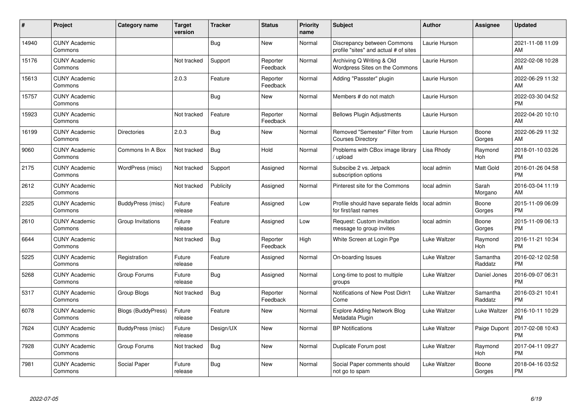| #     | Project                         | <b>Category name</b>      | <b>Target</b><br>version | <b>Tracker</b> | <b>Status</b>        | <b>Priority</b><br>name | <b>Subject</b>                                                       | <b>Author</b> | <b>Assignee</b>     | <b>Updated</b>                |
|-------|---------------------------------|---------------------------|--------------------------|----------------|----------------------|-------------------------|----------------------------------------------------------------------|---------------|---------------------|-------------------------------|
| 14940 | <b>CUNY Academic</b><br>Commons |                           |                          | Bug            | <b>New</b>           | Normal                  | Discrepancy between Commons<br>profile "sites" and actual # of sites | Laurie Hurson |                     | 2021-11-08 11:09<br>AM        |
| 15176 | <b>CUNY Academic</b><br>Commons |                           | Not tracked              | Support        | Reporter<br>Feedback | Normal                  | Archiving Q Writing & Old<br>Wordpress Sites on the Commons          | Laurie Hurson |                     | 2022-02-08 10:28<br>AM        |
| 15613 | <b>CUNY Academic</b><br>Commons |                           | 2.0.3                    | Feature        | Reporter<br>Feedback | Normal                  | Adding "Passster" plugin                                             | Laurie Hurson |                     | 2022-06-29 11:32<br>AM        |
| 15757 | <b>CUNY Academic</b><br>Commons |                           |                          | Bug            | <b>New</b>           | Normal                  | Members # do not match                                               | Laurie Hurson |                     | 2022-03-30 04:52<br><b>PM</b> |
| 15923 | <b>CUNY Academic</b><br>Commons |                           | Not tracked              | Feature        | Reporter<br>Feedback | Normal                  | <b>Bellows Plugin Adjustments</b>                                    | Laurie Hurson |                     | 2022-04-20 10:10<br>AM        |
| 16199 | <b>CUNY Academic</b><br>Commons | <b>Directories</b>        | 2.0.3                    | Bug            | <b>New</b>           | Normal                  | Removed "Semester" Filter from<br><b>Courses Directory</b>           | Laurie Hurson | Boone<br>Gorges     | 2022-06-29 11:32<br>AM        |
| 9060  | <b>CUNY Academic</b><br>Commons | Commons In A Box          | Not tracked              | Bug            | Hold                 | Normal                  | Problems with CBox image library<br>upload                           | Lisa Rhody    | Raymond<br>Hoh      | 2018-01-10 03:26<br><b>PM</b> |
| 2175  | <b>CUNY Academic</b><br>Commons | WordPress (misc)          | Not tracked              | Support        | Assigned             | Normal                  | Subscibe 2 vs. Jetpack<br>subscription options                       | local admin   | Matt Gold           | 2016-01-26 04:58<br><b>PM</b> |
| 2612  | <b>CUNY Academic</b><br>Commons |                           | Not tracked              | Publicity      | Assigned             | Normal                  | Pinterest site for the Commons                                       | local admin   | Sarah<br>Morgano    | 2016-03-04 11:19<br>AM        |
| 2325  | <b>CUNY Academic</b><br>Commons | BuddyPress (misc)         | Future<br>release        | Feature        | Assigned             | Low                     | Profile should have separate fields<br>for first/last names          | local admin   | Boone<br>Gorges     | 2015-11-09 06:09<br><b>PM</b> |
| 2610  | <b>CUNY Academic</b><br>Commons | Group Invitations         | Future<br>release        | Feature        | Assigned             | Low                     | Request: Custom invitation<br>message to group invites               | local admin   | Boone<br>Gorges     | 2015-11-09 06:13<br><b>PM</b> |
| 6644  | <b>CUNY Academic</b><br>Commons |                           | Not tracked              | <b>Bug</b>     | Reporter<br>Feedback | High                    | White Screen at Login Pge                                            | Luke Waltzer  | Raymond<br>Hoh      | 2016-11-21 10:34<br><b>PM</b> |
| 5225  | <b>CUNY Academic</b><br>Commons | Registration              | Future<br>release        | Feature        | Assigned             | Normal                  | On-boarding Issues                                                   | Luke Waltzer  | Samantha<br>Raddatz | 2016-02-12 02:58<br><b>PM</b> |
| 5268  | <b>CUNY Academic</b><br>Commons | Group Forums              | Future<br>release        | Bug            | Assigned             | Normal                  | Long-time to post to multiple<br>groups                              | Luke Waltzer  | Daniel Jones        | 2016-09-07 06:31<br><b>PM</b> |
| 5317  | <b>CUNY Academic</b><br>Commons | Group Blogs               | Not tracked              | <b>Bug</b>     | Reporter<br>Feedback | Normal                  | Notifications of New Post Didn't<br>Come                             | Luke Waltzer  | Samantha<br>Raddatz | 2016-03-21 10:41<br><b>PM</b> |
| 6078  | <b>CUNY Academic</b><br>Commons | <b>Blogs (BuddyPress)</b> | Future<br>release        | Feature        | New                  | Normal                  | <b>Explore Adding Network Blog</b><br>Metadata Plugin                | Luke Waltzer  | Luke Waltzer        | 2016-10-11 10:29<br><b>PM</b> |
| 7624  | <b>CUNY Academic</b><br>Commons | BuddyPress (misc)         | Future<br>release        | Design/UX      | New                  | Normal                  | <b>BP</b> Notifications                                              | Luke Waltzer  | Paige Dupont        | 2017-02-08 10:43<br><b>PM</b> |
| 7928  | <b>CUNY Academic</b><br>Commons | Group Forums              | Not tracked              | Bug            | <b>New</b>           | Normal                  | Duplicate Forum post                                                 | Luke Waltzer  | Raymond<br>Hoh      | 2017-04-11 09:27<br><b>PM</b> |
| 7981  | <b>CUNY Academic</b><br>Commons | Social Paper              | Future<br>release        | Bug            | <b>New</b>           | Normal                  | Social Paper comments should<br>not go to spam                       | Luke Waltzer  | Boone<br>Gorges     | 2018-04-16 03:52<br><b>PM</b> |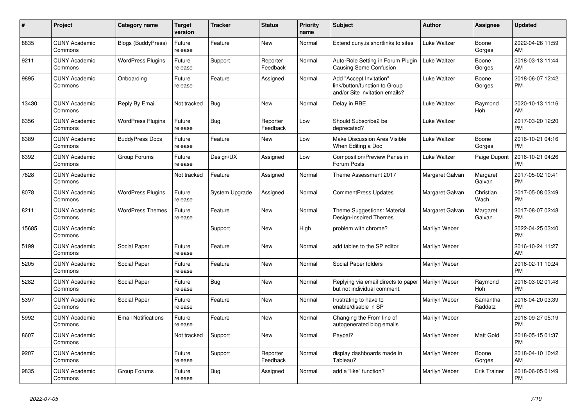| #     | <b>Project</b>                  | Category name              | Target<br>version | <b>Tracker</b> | <b>Status</b>        | <b>Priority</b><br>name | <b>Subject</b>                                                                             | <b>Author</b>   | Assignee            | <b>Updated</b>                |
|-------|---------------------------------|----------------------------|-------------------|----------------|----------------------|-------------------------|--------------------------------------------------------------------------------------------|-----------------|---------------------|-------------------------------|
| 8835  | <b>CUNY Academic</b><br>Commons | Blogs (BuddyPress)         | Future<br>release | Feature        | New                  | Normal                  | Extend cuny.is shortlinks to sites                                                         | Luke Waltzer    | Boone<br>Gorges     | 2022-04-26 11:59<br>AM        |
| 9211  | <b>CUNY Academic</b><br>Commons | <b>WordPress Plugins</b>   | Future<br>release | Support        | Reporter<br>Feedback | Normal                  | Auto-Role Setting in Forum Plugin<br>Causing Some Confusion                                | Luke Waltzer    | Boone<br>Gorges     | 2018-03-13 11:44<br>AM.       |
| 9895  | <b>CUNY Academic</b><br>Commons | Onboarding                 | Future<br>release | Feature        | Assigned             | Normal                  | Add "Accept Invitation"<br>link/button/function to Group<br>and/or Site invitation emails? | Luke Waltzer    | Boone<br>Gorges     | 2018-06-07 12:42<br><b>PM</b> |
| 13430 | <b>CUNY Academic</b><br>Commons | Reply By Email             | Not tracked       | <b>Bug</b>     | New                  | Normal                  | Delay in RBE                                                                               | Luke Waltzer    | Raymond<br>Hoh      | 2020-10-13 11:16<br>AM        |
| 6356  | <b>CUNY Academic</b><br>Commons | <b>WordPress Plugins</b>   | Future<br>release | Bug            | Reporter<br>Feedback | Low                     | Should Subscribe2 be<br>deprecated?                                                        | Luke Waltzer    |                     | 2017-03-20 12:20<br><b>PM</b> |
| 6389  | <b>CUNY Academic</b><br>Commons | <b>BuddyPress Docs</b>     | Future<br>release | Feature        | <b>New</b>           | Low                     | Make Discussion Area Visible<br>When Editing a Doc                                         | Luke Waltzer    | Boone<br>Gorges     | 2016-10-21 04:16<br><b>PM</b> |
| 6392  | <b>CUNY Academic</b><br>Commons | Group Forums               | Future<br>release | Design/UX      | Assigned             | Low                     | Composition/Preview Panes in<br>Forum Posts                                                | Luke Waltzer    | Paige Dupont        | 2016-10-21 04:26<br><b>PM</b> |
| 7828  | <b>CUNY Academic</b><br>Commons |                            | Not tracked       | Feature        | Assigned             | Normal                  | Theme Assessment 2017                                                                      | Margaret Galvan | Margaret<br>Galvan  | 2017-05-02 10:41<br><b>PM</b> |
| 8078  | <b>CUNY Academic</b><br>Commons | <b>WordPress Plugins</b>   | Future<br>release | System Upgrade | Assigned             | Normal                  | <b>CommentPress Updates</b>                                                                | Margaret Galvan | Christian<br>Wach   | 2017-05-08 03:49<br><b>PM</b> |
| 8211  | <b>CUNY Academic</b><br>Commons | <b>WordPress Themes</b>    | Future<br>release | Feature        | New                  | Normal                  | Theme Suggestions: Material<br>Design-Inspired Themes                                      | Margaret Galvan | Margaret<br>Galvan  | 2017-08-07 02:48<br><b>PM</b> |
| 15685 | <b>CUNY Academic</b><br>Commons |                            |                   | Support        | New                  | High                    | problem with chrome?                                                                       | Marilyn Weber   |                     | 2022-04-25 03:40<br><b>PM</b> |
| 5199  | <b>CUNY Academic</b><br>Commons | Social Paper               | Future<br>release | Feature        | <b>New</b>           | Normal                  | add tables to the SP editor                                                                | Marilyn Weber   |                     | 2016-10-24 11:27<br>AM        |
| 5205  | <b>CUNY Academic</b><br>Commons | Social Paper               | Future<br>release | Feature        | <b>New</b>           | Normal                  | Social Paper folders                                                                       | Marilyn Weber   |                     | 2016-02-11 10:24<br><b>PM</b> |
| 5282  | <b>CUNY Academic</b><br>Commons | Social Paper               | Future<br>release | Bug            | New                  | Normal                  | Replying via email directs to paper<br>but not individual comment.                         | Marilyn Weber   | Raymond<br>Hoh      | 2016-03-02 01:48<br><b>PM</b> |
| 5397  | <b>CUNY Academic</b><br>Commons | Social Paper               | Future<br>release | Feature        | <b>New</b>           | Normal                  | frustrating to have to<br>enable/disable in SP                                             | Marilyn Weber   | Samantha<br>Raddatz | 2016-04-20 03:39<br><b>PM</b> |
| 5992  | <b>CUNY Academic</b><br>Commons | <b>Email Notifications</b> | Future<br>release | Feature        | New                  | Normal                  | Changing the From line of<br>autogenerated blog emails                                     | Marilyn Weber   |                     | 2018-09-27 05:19<br><b>PM</b> |
| 8607  | <b>CUNY Academic</b><br>Commons |                            | Not tracked       | Support        | <b>New</b>           | Normal                  | Paypal?                                                                                    | Marilyn Weber   | Matt Gold           | 2018-05-15 01:37<br><b>PM</b> |
| 9207  | <b>CUNY Academic</b><br>Commons |                            | Future<br>release | Support        | Reporter<br>Feedback | Normal                  | display dashboards made in<br>Tableau?                                                     | Marilyn Weber   | Boone<br>Gorges     | 2018-04-10 10:42<br>AM.       |
| 9835  | <b>CUNY Academic</b><br>Commons | Group Forums               | Future<br>release | Bug            | Assigned             | Normal                  | add a "like" function?                                                                     | Marilyn Weber   | <b>Erik Trainer</b> | 2018-06-05 01:49<br>PM        |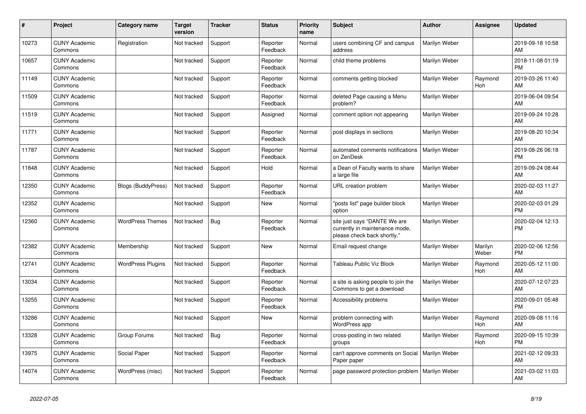| #     | <b>Project</b>                  | <b>Category name</b>      | <b>Target</b><br>version | <b>Tracker</b> | <b>Status</b>        | <b>Priority</b><br>name | <b>Subject</b>                                                                                | <b>Author</b> | Assignee         | <b>Updated</b>                |
|-------|---------------------------------|---------------------------|--------------------------|----------------|----------------------|-------------------------|-----------------------------------------------------------------------------------------------|---------------|------------------|-------------------------------|
| 10273 | <b>CUNY Academic</b><br>Commons | Registration              | Not tracked              | Support        | Reporter<br>Feedback | Normal                  | users combining CF and campus<br>address                                                      | Marilyn Weber |                  | 2019-09-18 10:58<br>AM        |
| 10657 | <b>CUNY Academic</b><br>Commons |                           | Not tracked              | Support        | Reporter<br>Feedback | Normal                  | child theme problems                                                                          | Marilyn Weber |                  | 2018-11-08 01:19<br><b>PM</b> |
| 11149 | <b>CUNY Academic</b><br>Commons |                           | Not tracked              | Support        | Reporter<br>Feedback | Normal                  | comments getting blocked                                                                      | Marilyn Weber | Raymond<br>Hoh   | 2019-03-26 11:40<br>AM        |
| 11509 | <b>CUNY Academic</b><br>Commons |                           | Not tracked              | Support        | Reporter<br>Feedback | Normal                  | deleted Page causing a Menu<br>problem?                                                       | Marilyn Weber |                  | 2019-06-04 09:54<br><b>AM</b> |
| 11519 | <b>CUNY Academic</b><br>Commons |                           | Not tracked              | Support        | Assigned             | Normal                  | comment option not appearing                                                                  | Marilyn Weber |                  | 2019-09-24 10:28<br>AM        |
| 11771 | <b>CUNY Academic</b><br>Commons |                           | Not tracked              | Support        | Reporter<br>Feedback | Normal                  | post displays in sections                                                                     | Marilyn Weber |                  | 2019-08-20 10:34<br>AM        |
| 11787 | <b>CUNY Academic</b><br>Commons |                           | Not tracked              | Support        | Reporter<br>Feedback | Normal                  | automated comments notifications<br>on ZenDesk                                                | Marilyn Weber |                  | 2019-08-26 06:18<br><b>PM</b> |
| 11848 | <b>CUNY Academic</b><br>Commons |                           | Not tracked              | Support        | Hold                 | Normal                  | a Dean of Faculty wants to share<br>a large file                                              | Marilyn Weber |                  | 2019-09-24 08:44<br>AM.       |
| 12350 | <b>CUNY Academic</b><br>Commons | <b>Blogs (BuddyPress)</b> | Not tracked              | Support        | Reporter<br>Feedback | Normal                  | URL creation problem                                                                          | Marilyn Weber |                  | 2020-02-03 11:27<br>AM        |
| 12352 | <b>CUNY Academic</b><br>Commons |                           | Not tracked              | Support        | New                  | Normal                  | "posts list" page builder block<br>option                                                     | Marilyn Weber |                  | 2020-02-03 01:29<br><b>PM</b> |
| 12360 | <b>CUNY Academic</b><br>Commons | <b>WordPress Themes</b>   | Not tracked              | Bug            | Reporter<br>Feedback | Normal                  | site just says "DANTE We are<br>currently in maintenance mode,<br>please check back shortly." | Marilyn Weber |                  | 2020-02-04 12:13<br><b>PM</b> |
| 12382 | <b>CUNY Academic</b><br>Commons | Membership                | Not tracked              | Support        | New                  | Normal                  | Email request change                                                                          | Marilyn Weber | Marilyn<br>Weber | 2020-02-06 12:56<br><b>PM</b> |
| 12741 | <b>CUNY Academic</b><br>Commons | <b>WordPress Plugins</b>  | Not tracked              | Support        | Reporter<br>Feedback | Normal                  | Tableau Public Viz Block                                                                      | Marilyn Weber | Raymond<br>Hoh   | 2020-05-12 11:00<br>AM        |
| 13034 | <b>CUNY Academic</b><br>Commons |                           | Not tracked              | Support        | Reporter<br>Feedback | Normal                  | a site is asking people to join the<br>Commons to get a download                              | Marilyn Weber |                  | 2020-07-12 07:23<br>AM        |
| 13255 | <b>CUNY Academic</b><br>Commons |                           | Not tracked              | Support        | Reporter<br>Feedback | Normal                  | Accessibility problems                                                                        | Marilyn Weber |                  | 2020-09-01 05:48<br><b>PM</b> |
| 13286 | <b>CUNY Academic</b><br>Commons |                           | Not tracked              | Support        | <b>New</b>           | Normal                  | problem connecting with<br><b>WordPress app</b>                                               | Marilyn Weber | Raymond<br>Hoh   | 2020-09-08 11:16<br>AM        |
| 13328 | <b>CUNY Academic</b><br>Commons | Group Forums              | Not tracked              | Bug            | Reporter<br>Feedback | Normal                  | cross-posting in two related<br>groups                                                        | Marilyn Weber | Raymond<br>Hoh   | 2020-09-15 10:39<br><b>PM</b> |
| 13975 | <b>CUNY Academic</b><br>Commons | Social Paper              | Not tracked              | Support        | Reporter<br>Feedback | Normal                  | can't approve comments on Social<br>Paper paper                                               | Marilyn Weber |                  | 2021-02-12 09:33<br>AM        |
| 14074 | <b>CUNY Academic</b><br>Commons | WordPress (misc)          | Not tracked              | Support        | Reporter<br>Feedback | Normal                  | page password protection problem                                                              | Marilyn Weber |                  | 2021-03-02 11:03<br>AM        |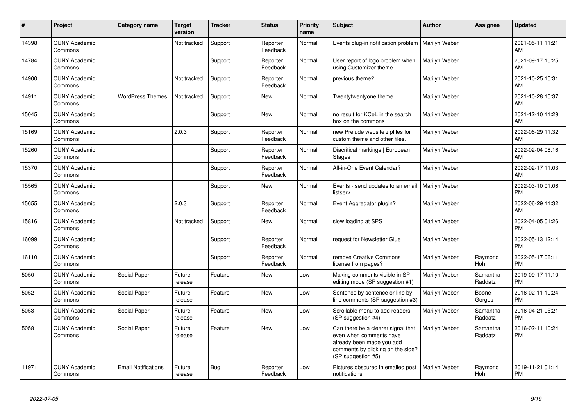| #     | Project                         | <b>Category name</b>       | <b>Target</b><br>version | <b>Tracker</b> | <b>Status</b>        | <b>Priority</b><br>name | <b>Subject</b>                                                                                                                                        | <b>Author</b> | Assignee            | <b>Updated</b>                |
|-------|---------------------------------|----------------------------|--------------------------|----------------|----------------------|-------------------------|-------------------------------------------------------------------------------------------------------------------------------------------------------|---------------|---------------------|-------------------------------|
| 14398 | <b>CUNY Academic</b><br>Commons |                            | Not tracked              | Support        | Reporter<br>Feedback | Normal                  | Events plug-in notification problem                                                                                                                   | Marilyn Weber |                     | 2021-05-11 11:21<br>AM        |
| 14784 | <b>CUNY Academic</b><br>Commons |                            |                          | Support        | Reporter<br>Feedback | Normal                  | User report of logo problem when<br>using Customizer theme                                                                                            | Marilyn Weber |                     | 2021-09-17 10:25<br>AM        |
| 14900 | <b>CUNY Academic</b><br>Commons |                            | Not tracked              | Support        | Reporter<br>Feedback | Normal                  | previous theme?                                                                                                                                       | Marilyn Weber |                     | 2021-10-25 10:31<br>AM        |
| 14911 | <b>CUNY Academic</b><br>Commons | <b>WordPress Themes</b>    | Not tracked              | Support        | New                  | Normal                  | Twentytwentyone theme                                                                                                                                 | Marilyn Weber |                     | 2021-10-28 10:37<br>AM        |
| 15045 | <b>CUNY Academic</b><br>Commons |                            |                          | Support        | <b>New</b>           | Normal                  | no result for KCeL in the search<br>box on the commons                                                                                                | Marilyn Weber |                     | 2021-12-10 11:29<br>AM        |
| 15169 | <b>CUNY Academic</b><br>Commons |                            | 2.0.3                    | Support        | Reporter<br>Feedback | Normal                  | new Prelude website zipfiles for<br>custom theme and other files.                                                                                     | Marilyn Weber |                     | 2022-06-29 11:32<br>AM        |
| 15260 | <b>CUNY Academic</b><br>Commons |                            |                          | Support        | Reporter<br>Feedback | Normal                  | Diacritical markings   European<br><b>Stages</b>                                                                                                      | Marilyn Weber |                     | 2022-02-04 08:16<br>AM        |
| 15370 | <b>CUNY Academic</b><br>Commons |                            |                          | Support        | Reporter<br>Feedback | Normal                  | All-in-One Event Calendar?                                                                                                                            | Marilyn Weber |                     | 2022-02-17 11:03<br>AM        |
| 15565 | <b>CUNY Academic</b><br>Commons |                            |                          | Support        | <b>New</b>           | Normal                  | Events - send updates to an email<br>listserv                                                                                                         | Marilyn Weber |                     | 2022-03-10 01:06<br><b>PM</b> |
| 15655 | <b>CUNY Academic</b><br>Commons |                            | 2.0.3                    | Support        | Reporter<br>Feedback | Normal                  | Event Aggregator plugin?                                                                                                                              | Marilyn Weber |                     | 2022-06-29 11:32<br>AM        |
| 15816 | <b>CUNY Academic</b><br>Commons |                            | Not tracked              | Support        | New                  | Normal                  | slow loading at SPS                                                                                                                                   | Marilyn Weber |                     | 2022-04-05 01:26<br><b>PM</b> |
| 16099 | <b>CUNY Academic</b><br>Commons |                            |                          | Support        | Reporter<br>Feedback | Normal                  | request for Newsletter Glue                                                                                                                           | Marilyn Weber |                     | 2022-05-13 12:14<br><b>PM</b> |
| 16110 | <b>CUNY Academic</b><br>Commons |                            |                          | Support        | Reporter<br>Feedback | Normal                  | remove Creative Commons<br>license from pages?                                                                                                        | Marilyn Weber | Raymond<br>Hoh      | 2022-05-17 06:11<br><b>PM</b> |
| 5050  | <b>CUNY Academic</b><br>Commons | Social Paper               | Future<br>release        | Feature        | New                  | Low                     | Making comments visible in SP<br>editing mode (SP suggestion #1)                                                                                      | Marilyn Weber | Samantha<br>Raddatz | 2019-09-17 11:10<br><b>PM</b> |
| 5052  | <b>CUNY Academic</b><br>Commons | Social Paper               | Future<br>release        | Feature        | <b>New</b>           | Low                     | Sentence by sentence or line by<br>line comments (SP suggestion #3)                                                                                   | Marilyn Weber | Boone<br>Gorges     | 2016-02-11 10:24<br><b>PM</b> |
| 5053  | <b>CUNY Academic</b><br>Commons | Social Paper               | Future<br>release        | Feature        | <b>New</b>           | Low                     | Scrollable menu to add readers<br>(SP suggestion #4)                                                                                                  | Marilyn Weber | Samantha<br>Raddatz | 2016-04-21 05:21<br><b>PM</b> |
| 5058  | <b>CUNY Academic</b><br>Commons | Social Paper               | Future<br>release        | Feature        | <b>New</b>           | Low                     | Can there be a clearer signal that<br>even when comments have<br>already been made you add<br>comments by clicking on the side?<br>(SP suggestion #5) | Marilyn Weber | Samantha<br>Raddatz | 2016-02-11 10:24<br><b>PM</b> |
| 11971 | <b>CUNY Academic</b><br>Commons | <b>Email Notifications</b> | Future<br>release        | Bug            | Reporter<br>Feedback | Low                     | Pictures obscured in emailed post<br>notifications                                                                                                    | Marilyn Weber | Raymond<br>Hoh      | 2019-11-21 01:14<br><b>PM</b> |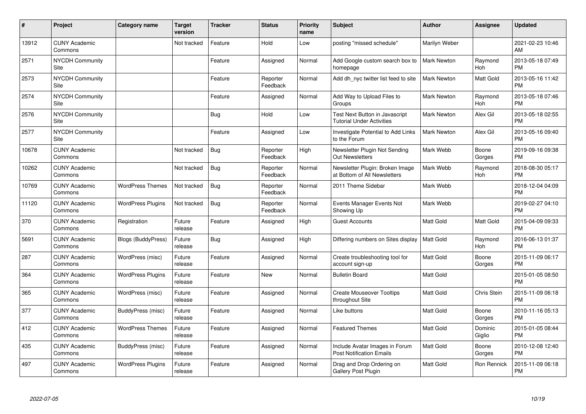| #     | Project                         | <b>Category name</b>      | <b>Target</b><br>version | <b>Tracker</b> | <b>Status</b>        | <b>Priority</b><br>name | <b>Subject</b>                                                     | <b>Author</b>      | <b>Assignee</b>   | <b>Updated</b>                |
|-------|---------------------------------|---------------------------|--------------------------|----------------|----------------------|-------------------------|--------------------------------------------------------------------|--------------------|-------------------|-------------------------------|
| 13912 | <b>CUNY Academic</b><br>Commons |                           | Not tracked              | Feature        | Hold                 | Low                     | posting "missed schedule"                                          | Marilyn Weber      |                   | 2021-02-23 10:46<br>AM        |
| 2571  | NYCDH Community<br>Site         |                           |                          | Feature        | Assigned             | Normal                  | Add Google custom search box to<br>homepage                        | <b>Mark Newton</b> | Raymond<br>Hoh    | 2013-05-18 07:49<br><b>PM</b> |
| 2573  | <b>NYCDH Community</b><br>Site  |                           |                          | Feature        | Reporter<br>Feedback | Normal                  | Add dh nyc twitter list feed to site                               | <b>Mark Newton</b> | Matt Gold         | 2013-05-16 11:42<br><b>PM</b> |
| 2574  | <b>NYCDH Community</b><br>Site  |                           |                          | Feature        | Assigned             | Normal                  | Add Way to Upload Files to<br>Groups                               | <b>Mark Newton</b> | Raymond<br>Hoh    | 2013-05-18 07:46<br><b>PM</b> |
| 2576  | <b>NYCDH Community</b><br>Site  |                           |                          | Bug            | Hold                 | Low                     | Test Next Button in Javascript<br><b>Tutorial Under Activities</b> | <b>Mark Newton</b> | Alex Gil          | 2013-05-18 02:55<br><b>PM</b> |
| 2577  | <b>NYCDH Community</b><br>Site  |                           |                          | Feature        | Assigned             | Low                     | Investigate Potential to Add Links<br>to the Forum                 | <b>Mark Newton</b> | Alex Gil          | 2013-05-16 09:40<br><b>PM</b> |
| 10678 | <b>CUNY Academic</b><br>Commons |                           | Not tracked              | <b>Bug</b>     | Reporter<br>Feedback | High                    | Newsletter Plugin Not Sending<br><b>Out Newsletters</b>            | Mark Webb          | Boone<br>Gorges   | 2019-09-16 09:38<br><b>PM</b> |
| 10262 | <b>CUNY Academic</b><br>Commons |                           | Not tracked              | Bug            | Reporter<br>Feedback | Normal                  | Newsletter Plugin: Broken Image<br>at Bottom of All Newsletters    | Mark Webb          | Raymond<br>Hoh    | 2018-08-30 05:17<br><b>PM</b> |
| 10769 | <b>CUNY Academic</b><br>Commons | <b>WordPress Themes</b>   | Not tracked              | Bug            | Reporter<br>Feedback | Normal                  | 2011 Theme Sidebar                                                 | Mark Webb          |                   | 2018-12-04 04:09<br><b>PM</b> |
| 11120 | <b>CUNY Academic</b><br>Commons | <b>WordPress Plugins</b>  | Not tracked              | Bug            | Reporter<br>Feedback | Normal                  | Events Manager Events Not<br>Showing Up                            | Mark Webb          |                   | 2019-02-27 04:10<br><b>PM</b> |
| 370   | <b>CUNY Academic</b><br>Commons | Registration              | Future<br>release        | Feature        | Assigned             | High                    | <b>Guest Accounts</b>                                              | <b>Matt Gold</b>   | Matt Gold         | 2015-04-09 09:33<br><b>PM</b> |
| 5691  | <b>CUNY Academic</b><br>Commons | <b>Blogs (BuddyPress)</b> | Future<br>release        | Bug            | Assigned             | High                    | Differing numbers on Sites display                                 | <b>Matt Gold</b>   | Raymond<br>Hoh    | 2016-06-13 01:37<br><b>PM</b> |
| 287   | <b>CUNY Academic</b><br>Commons | WordPress (misc)          | Future<br>release        | Feature        | Assigned             | Normal                  | Create troubleshooting tool for<br>account sign-up                 | <b>Matt Gold</b>   | Boone<br>Gorges   | 2015-11-09 06:17<br><b>PM</b> |
| 364   | <b>CUNY Academic</b><br>Commons | <b>WordPress Plugins</b>  | Future<br>release        | Feature        | New                  | Normal                  | <b>Bulletin Board</b>                                              | <b>Matt Gold</b>   |                   | 2015-01-05 08:50<br><b>PM</b> |
| 365   | <b>CUNY Academic</b><br>Commons | WordPress (misc)          | Future<br>release        | Feature        | Assigned             | Normal                  | <b>Create Mouseover Tooltips</b><br>throughout Site                | <b>Matt Gold</b>   | Chris Stein       | 2015-11-09 06:18<br><b>PM</b> |
| 377   | <b>CUNY Academic</b><br>Commons | BuddyPress (misc)         | Future<br>release        | Feature        | Assigned             | Normal                  | Like buttons                                                       | Matt Gold          | Boone<br>Gorges   | 2010-11-16 05:13<br><b>PM</b> |
| 412   | <b>CUNY Academic</b><br>Commons | <b>WordPress Themes</b>   | Future<br>release        | Feature        | Assigned             | Normal                  | <b>Featured Themes</b>                                             | <b>Matt Gold</b>   | Dominic<br>Giglio | 2015-01-05 08:44<br><b>PM</b> |
| 435   | <b>CUNY Academic</b><br>Commons | BuddyPress (misc)         | Future<br>release        | Feature        | Assigned             | Normal                  | Include Avatar Images in Forum<br><b>Post Notification Emails</b>  | Matt Gold          | Boone<br>Gorges   | 2010-12-08 12:40<br><b>PM</b> |
| 497   | <b>CUNY Academic</b><br>Commons | <b>WordPress Plugins</b>  | Future<br>release        | Feature        | Assigned             | Normal                  | Drag and Drop Ordering on<br>Gallery Post Plugin                   | Matt Gold          | Ron Rennick       | 2015-11-09 06:18<br><b>PM</b> |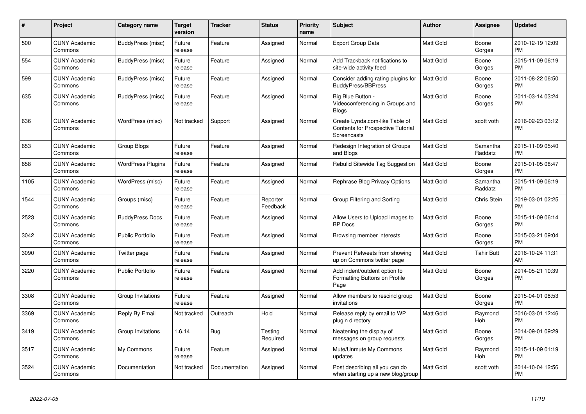| #    | <b>Project</b>                  | Category name            | <b>Target</b><br>version | <b>Tracker</b> | <b>Status</b>        | <b>Priority</b><br>name | <b>Subject</b>                                                                            | <b>Author</b>    | Assignee            | <b>Updated</b>                |
|------|---------------------------------|--------------------------|--------------------------|----------------|----------------------|-------------------------|-------------------------------------------------------------------------------------------|------------------|---------------------|-------------------------------|
| 500  | <b>CUNY Academic</b><br>Commons | BuddyPress (misc)        | Future<br>release        | Feature        | Assigned             | Normal                  | Export Group Data                                                                         | <b>Matt Gold</b> | Boone<br>Gorges     | 2010-12-19 12:09<br><b>PM</b> |
| 554  | <b>CUNY Academic</b><br>Commons | BuddyPress (misc)        | Future<br>release        | Feature        | Assigned             | Normal                  | Add Trackback notifications to<br>site-wide activity feed                                 | <b>Matt Gold</b> | Boone<br>Gorges     | 2015-11-09 06:19<br><b>PM</b> |
| 599  | <b>CUNY Academic</b><br>Commons | BuddyPress (misc)        | Future<br>release        | Feature        | Assigned             | Normal                  | Consider adding rating plugins for<br><b>BuddyPress/BBPress</b>                           | Matt Gold        | Boone<br>Gorges     | 2011-08-22 06:50<br><b>PM</b> |
| 635  | <b>CUNY Academic</b><br>Commons | BuddyPress (misc)        | Future<br>release        | Feature        | Assigned             | Normal                  | Big Blue Button -<br>Videoconferencing in Groups and<br><b>Blogs</b>                      | Matt Gold        | Boone<br>Gorges     | 2011-03-14 03:24<br><b>PM</b> |
| 636  | <b>CUNY Academic</b><br>Commons | WordPress (misc)         | Not tracked              | Support        | Assigned             | Normal                  | Create Lynda.com-like Table of<br><b>Contents for Prospective Tutorial</b><br>Screencasts | Matt Gold        | scott voth          | 2016-02-23 03:12<br><b>PM</b> |
| 653  | <b>CUNY Academic</b><br>Commons | Group Blogs              | Future<br>release        | Feature        | Assigned             | Normal                  | Redesign Integration of Groups<br>and Blogs                                               | <b>Matt Gold</b> | Samantha<br>Raddatz | 2015-11-09 05:40<br><b>PM</b> |
| 658  | <b>CUNY Academic</b><br>Commons | <b>WordPress Plugins</b> | Future<br>release        | Feature        | Assigned             | Normal                  | Rebulid Sitewide Tag Suggestion                                                           | <b>Matt Gold</b> | Boone<br>Gorges     | 2015-01-05 08:47<br><b>PM</b> |
| 1105 | <b>CUNY Academic</b><br>Commons | WordPress (misc)         | Future<br>release        | Feature        | Assigned             | Normal                  | Rephrase Blog Privacy Options                                                             | Matt Gold        | Samantha<br>Raddatz | 2015-11-09 06:19<br><b>PM</b> |
| 1544 | <b>CUNY Academic</b><br>Commons | Groups (misc)            | Future<br>release        | Feature        | Reporter<br>Feedback | Normal                  | Group Filtering and Sorting                                                               | <b>Matt Gold</b> | Chris Stein         | 2019-03-01 02:25<br><b>PM</b> |
| 2523 | <b>CUNY Academic</b><br>Commons | <b>BuddyPress Docs</b>   | Future<br>release        | Feature        | Assigned             | Normal                  | Allow Users to Upload Images to<br><b>BP</b> Docs                                         | <b>Matt Gold</b> | Boone<br>Gorges     | 2015-11-09 06:14<br><b>PM</b> |
| 3042 | <b>CUNY Academic</b><br>Commons | <b>Public Portfolio</b>  | Future<br>release        | Feature        | Assigned             | Normal                  | Browsing member interests                                                                 | <b>Matt Gold</b> | Boone<br>Gorges     | 2015-03-21 09:04<br><b>PM</b> |
| 3090 | <b>CUNY Academic</b><br>Commons | Twitter page             | Future<br>release        | Feature        | Assigned             | Normal                  | Prevent Retweets from showing<br>up on Commons twitter page                               | <b>Matt Gold</b> | <b>Tahir Butt</b>   | 2016-10-24 11:31<br>AM        |
| 3220 | <b>CUNY Academic</b><br>Commons | Public Portfolio         | Future<br>release        | Feature        | Assigned             | Normal                  | Add indent/outdent option to<br>Formatting Buttons on Profile<br>Page                     | <b>Matt Gold</b> | Boone<br>Gorges     | 2014-05-21 10:39<br>PM        |
| 3308 | <b>CUNY Academic</b><br>Commons | Group Invitations        | Future<br>release        | Feature        | Assigned             | Normal                  | Allow members to rescind group<br>invitations                                             | <b>Matt Gold</b> | Boone<br>Gorges     | 2015-04-01 08:53<br><b>PM</b> |
| 3369 | <b>CUNY Academic</b><br>Commons | Reply By Email           | Not tracked              | Outreach       | Hold                 | Normal                  | Release reply by email to WP<br>plugin directory                                          | <b>Matt Gold</b> | Raymond<br>Hoh      | 2016-03-01 12:46<br><b>PM</b> |
| 3419 | <b>CUNY Academic</b><br>Commons | Group Invitations        | 1.6.14                   | Bug            | Testing<br>Required  | Normal                  | Neatening the display of<br>messages on group requests                                    | <b>Matt Gold</b> | Boone<br>Gorges     | 2014-09-01 09:29<br><b>PM</b> |
| 3517 | <b>CUNY Academic</b><br>Commons | My Commons               | Future<br>release        | Feature        | Assigned             | Normal                  | Mute/Unmute My Commons<br>updates                                                         | Matt Gold        | Raymond<br>Hoh      | 2015-11-09 01:19<br><b>PM</b> |
| 3524 | <b>CUNY Academic</b><br>Commons | Documentation            | Not tracked              | Documentation  | Assigned             | Normal                  | Post describing all you can do<br>when starting up a new blog/group                       | <b>Matt Gold</b> | scott voth          | 2014-10-04 12:56<br>PM        |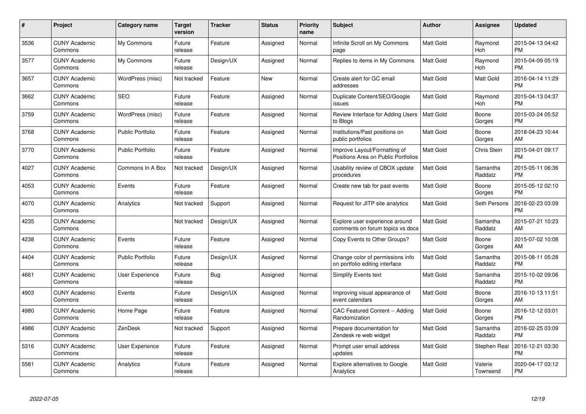| $\#$ | Project                         | <b>Category name</b>    | Target<br>version | <b>Tracker</b> | <b>Status</b> | Priority<br>name | <b>Subject</b>                                                      | <b>Author</b>    | <b>Assignee</b>     | <b>Updated</b>                |
|------|---------------------------------|-------------------------|-------------------|----------------|---------------|------------------|---------------------------------------------------------------------|------------------|---------------------|-------------------------------|
| 3536 | <b>CUNY Academic</b><br>Commons | My Commons              | Future<br>release | Feature        | Assigned      | Normal           | Infinite Scroll on My Commons<br>page                               | <b>Matt Gold</b> | Raymond<br>Hoh      | 2015-04-13 04:42<br><b>PM</b> |
| 3577 | <b>CUNY Academic</b><br>Commons | My Commons              | Future<br>release | Design/UX      | Assigned      | Normal           | Replies to items in My Commons                                      | <b>Matt Gold</b> | Raymond<br>Hoh      | 2015-04-09 05:19<br><b>PM</b> |
| 3657 | <b>CUNY Academic</b><br>Commons | WordPress (misc)        | Not tracked       | Feature        | <b>New</b>    | Normal           | Create alert for GC email<br>addresses                              | Matt Gold        | Matt Gold           | 2016-04-14 11:29<br><b>PM</b> |
| 3662 | <b>CUNY Academic</b><br>Commons | <b>SEO</b>              | Future<br>release | Feature        | Assigned      | Normal           | Duplicate Content/SEO/Google<br>issues                              | Matt Gold        | Raymond<br>Hoh      | 2015-04-13 04:37<br><b>PM</b> |
| 3759 | <b>CUNY Academic</b><br>Commons | WordPress (misc)        | Future<br>release | Feature        | Assigned      | Normal           | Review Interface for Adding Users<br>to Blogs                       | <b>Matt Gold</b> | Boone<br>Gorges     | 2015-03-24 05:52<br><b>PM</b> |
| 3768 | <b>CUNY Academic</b><br>Commons | <b>Public Portfolio</b> | Future<br>release | Feature        | Assigned      | Normal           | Institutions/Past positions on<br>public portfolios                 | <b>Matt Gold</b> | Boone<br>Gorges     | 2018-04-23 10:44<br>AM        |
| 3770 | <b>CUNY Academic</b><br>Commons | <b>Public Portfolio</b> | Future<br>release | Feature        | Assigned      | Normal           | Improve Layout/Formatting of<br>Positions Area on Public Portfolios | <b>Matt Gold</b> | <b>Chris Stein</b>  | 2015-04-01 09:17<br><b>PM</b> |
| 4027 | <b>CUNY Academic</b><br>Commons | Commons In A Box        | Not tracked       | Design/UX      | Assigned      | Normal           | Usability review of CBOX update<br>procedures                       | <b>Matt Gold</b> | Samantha<br>Raddatz | 2015-05-11 06:36<br><b>PM</b> |
| 4053 | <b>CUNY Academic</b><br>Commons | Events                  | Future<br>release | Feature        | Assigned      | Normal           | Create new tab for past events                                      | <b>Matt Gold</b> | Boone<br>Gorges     | 2015-05-12 02:10<br><b>PM</b> |
| 4070 | <b>CUNY Academic</b><br>Commons | Analytics               | Not tracked       | Support        | Assigned      | Normal           | Request for JITP site analytics                                     | <b>Matt Gold</b> | Seth Persons        | 2016-02-23 03:09<br><b>PM</b> |
| 4235 | <b>CUNY Academic</b><br>Commons |                         | Not tracked       | Design/UX      | Assigned      | Normal           | Explore user experience around<br>comments on forum topics vs docs  | <b>Matt Gold</b> | Samantha<br>Raddatz | 2015-07-21 10:23<br>AM        |
| 4238 | <b>CUNY Academic</b><br>Commons | Events                  | Future<br>release | Feature        | Assigned      | Normal           | Copy Events to Other Groups?                                        | Matt Gold        | Boone<br>Gorges     | 2015-07-02 10:08<br>AM        |
| 4404 | <b>CUNY Academic</b><br>Commons | <b>Public Portfolio</b> | Future<br>release | Design/UX      | Assigned      | Normal           | Change color of permissions info<br>on portfolio editing interface  | <b>Matt Gold</b> | Samantha<br>Raddatz | 2015-08-11 05:28<br><b>PM</b> |
| 4661 | <b>CUNY Academic</b><br>Commons | User Experience         | Future<br>release | Bug            | Assigned      | Normal           | Simplify Events text                                                | <b>Matt Gold</b> | Samantha<br>Raddatz | 2015-10-02 09:06<br><b>PM</b> |
| 4903 | <b>CUNY Academic</b><br>Commons | Events                  | Future<br>release | Design/UX      | Assigned      | Normal           | Improving visual appearance of<br>event calendars                   | Matt Gold        | Boone<br>Gorges     | 2016-10-13 11:51<br>AM        |
| 4980 | <b>CUNY Academic</b><br>Commons | Home Page               | Future<br>release | Feature        | Assigned      | Normal           | CAC Featured Content -- Adding<br>Randomization                     | Matt Gold        | Boone<br>Gorges     | 2016-12-12 03:01<br><b>PM</b> |
| 4986 | <b>CUNY Academic</b><br>Commons | ZenDesk                 | Not tracked       | Support        | Assigned      | Normal           | Prepare documentation for<br>Zendesk re web widget                  | <b>Matt Gold</b> | Samantha<br>Raddatz | 2016-02-25 03:09<br><b>PM</b> |
| 5316 | <b>CUNY Academic</b><br>Commons | User Experience         | Future<br>release | Feature        | Assigned      | Normal           | Prompt user email address<br>updates                                | Matt Gold        | Stephen Real        | 2016-12-21 03:30<br><b>PM</b> |
| 5581 | CUNY Academic<br>Commons        | Analytics               | Future<br>release | Feature        | Assigned      | Normal           | Explore alternatives to Google<br>Analytics                         | <b>Matt Gold</b> | Valerie<br>Townsend | 2020-04-17 03:12<br><b>PM</b> |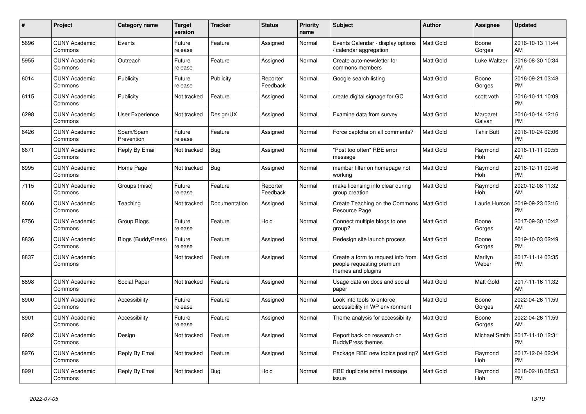| #    | Project                         | <b>Category name</b>      | <b>Target</b><br>version | <b>Tracker</b> | <b>Status</b>        | <b>Priority</b><br>name | <b>Subject</b>                                                                        | <b>Author</b>    | Assignee           | <b>Updated</b>                |
|------|---------------------------------|---------------------------|--------------------------|----------------|----------------------|-------------------------|---------------------------------------------------------------------------------------|------------------|--------------------|-------------------------------|
| 5696 | <b>CUNY Academic</b><br>Commons | Events                    | Future<br>release        | Feature        | Assigned             | Normal                  | Events Calendar - display options<br>/ calendar aggregation                           | <b>Matt Gold</b> | Boone<br>Gorges    | 2016-10-13 11:44<br>AM        |
| 5955 | <b>CUNY Academic</b><br>Commons | Outreach                  | Future<br>release        | Feature        | Assigned             | Normal                  | Create auto-newsletter for<br>commons members                                         | <b>Matt Gold</b> | Luke Waltzer       | 2016-08-30 10:34<br>AM        |
| 6014 | <b>CUNY Academic</b><br>Commons | Publicity                 | Future<br>release        | Publicity      | Reporter<br>Feedback | Normal                  | Google search listing                                                                 | Matt Gold        | Boone<br>Gorges    | 2016-09-21 03:48<br><b>PM</b> |
| 6115 | <b>CUNY Academic</b><br>Commons | Publicity                 | Not tracked              | Feature        | Assigned             | Normal                  | create digital signage for GC                                                         | <b>Matt Gold</b> | scott voth         | 2016-10-11 10:09<br><b>PM</b> |
| 6298 | <b>CUNY Academic</b><br>Commons | <b>User Experience</b>    | Not tracked              | Design/UX      | Assigned             | Normal                  | Examine data from survey                                                              | <b>Matt Gold</b> | Margaret<br>Galvan | 2016-10-14 12:16<br><b>PM</b> |
| 6426 | <b>CUNY Academic</b><br>Commons | Spam/Spam<br>Prevention   | Future<br>release        | Feature        | Assigned             | Normal                  | Force captcha on all comments?                                                        | Matt Gold        | Tahir Butt         | 2016-10-24 02:06<br><b>PM</b> |
| 6671 | <b>CUNY Academic</b><br>Commons | Reply By Email            | Not tracked              | Bug            | Assigned             | Normal                  | "Post too often" RBE error<br>message                                                 | <b>Matt Gold</b> | Raymond<br>Hoh     | 2016-11-11 09:55<br>AM        |
| 6995 | <b>CUNY Academic</b><br>Commons | Home Page                 | Not tracked              | Bug            | Assigned             | Normal                  | member filter on homepage not<br>working                                              | <b>Matt Gold</b> | Raymond<br>Hoh     | 2016-12-11 09:46<br><b>PM</b> |
| 7115 | <b>CUNY Academic</b><br>Commons | Groups (misc)             | Future<br>release        | Feature        | Reporter<br>Feedback | Normal                  | make licensing info clear during<br>group creation                                    | Matt Gold        | Raymond<br>Hoh     | 2020-12-08 11:32<br>AM        |
| 8666 | <b>CUNY Academic</b><br>Commons | Teaching                  | Not tracked              | Documentation  | Assigned             | Normal                  | Create Teaching on the Commons<br>Resource Page                                       | <b>Matt Gold</b> | Laurie Hurson      | 2019-09-23 03:16<br><b>PM</b> |
| 8756 | <b>CUNY Academic</b><br>Commons | Group Blogs               | Future<br>release        | Feature        | Hold                 | Normal                  | Connect multiple blogs to one<br>group?                                               | <b>Matt Gold</b> | Boone<br>Gorges    | 2017-09-30 10:42<br>AM        |
| 8836 | <b>CUNY Academic</b><br>Commons | <b>Blogs (BuddyPress)</b> | Future<br>release        | Feature        | Assigned             | Normal                  | Redesign site launch process                                                          | Matt Gold        | Boone<br>Gorges    | 2019-10-03 02:49<br><b>PM</b> |
| 8837 | <b>CUNY Academic</b><br>Commons |                           | Not tracked              | Feature        | Assigned             | Normal                  | Create a form to request info from<br>people requesting premium<br>themes and plugins | <b>Matt Gold</b> | Marilyn<br>Weber   | 2017-11-14 03:35<br><b>PM</b> |
| 8898 | <b>CUNY Academic</b><br>Commons | Social Paper              | Not tracked              | Feature        | Assigned             | Normal                  | Usage data on docs and social<br>paper                                                | Matt Gold        | Matt Gold          | 2017-11-16 11:32<br>AM        |
| 8900 | <b>CUNY Academic</b><br>Commons | Accessibility             | Future<br>release        | Feature        | Assigned             | Normal                  | Look into tools to enforce<br>accessibility in WP environment                         | Matt Gold        | Boone<br>Gorges    | 2022-04-26 11:59<br>AM        |
| 8901 | <b>CUNY Academic</b><br>Commons | Accessibility             | Future<br>release        | Feature        | Assigned             | Normal                  | Theme analysis for accessibility                                                      | <b>Matt Gold</b> | Boone<br>Gorges    | 2022-04-26 11:59<br>AM        |
| 8902 | <b>CUNY Academic</b><br>Commons | Design                    | Not tracked              | Feature        | Assigned             | Normal                  | Report back on research on<br><b>BuddyPress themes</b>                                | <b>Matt Gold</b> | Michael Smith      | 2017-11-10 12:31<br><b>PM</b> |
| 8976 | <b>CUNY Academic</b><br>Commons | Reply By Email            | Not tracked              | Feature        | Assigned             | Normal                  | Package RBE new topics posting?                                                       | Matt Gold        | Raymond<br>Hoh     | 2017-12-04 02:34<br><b>PM</b> |
| 8991 | <b>CUNY Academic</b><br>Commons | Reply By Email            | Not tracked              | Bug            | Hold                 | Normal                  | RBE duplicate email message<br>issue                                                  | <b>Matt Gold</b> | Raymond<br>Hoh     | 2018-02-18 08:53<br><b>PM</b> |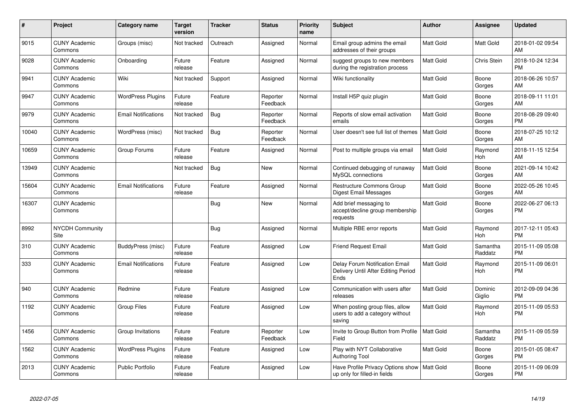| $\#$  | Project                         | <b>Category name</b>       | <b>Target</b><br>version | <b>Tracker</b> | <b>Status</b>        | <b>Priority</b><br>name | <b>Subject</b>                                                                | <b>Author</b>    | Assignee            | <b>Updated</b>                |
|-------|---------------------------------|----------------------------|--------------------------|----------------|----------------------|-------------------------|-------------------------------------------------------------------------------|------------------|---------------------|-------------------------------|
| 9015  | <b>CUNY Academic</b><br>Commons | Groups (misc)              | Not tracked              | Outreach       | Assigned             | Normal                  | Email group admins the email<br>addresses of their groups                     | <b>Matt Gold</b> | Matt Gold           | 2018-01-02 09:54<br>AM        |
| 9028  | <b>CUNY Academic</b><br>Commons | Onboarding                 | Future<br>release        | Feature        | Assigned             | Normal                  | suggest groups to new members<br>during the registration process              | <b>Matt Gold</b> | Chris Stein         | 2018-10-24 12:34<br><b>PM</b> |
| 9941  | <b>CUNY Academic</b><br>Commons | Wiki                       | Not tracked              | Support        | Assigned             | Normal                  | Wiki functionality                                                            | Matt Gold        | Boone<br>Gorges     | 2018-06-26 10:57<br>AM        |
| 9947  | <b>CUNY Academic</b><br>Commons | <b>WordPress Plugins</b>   | Future<br>release        | Feature        | Reporter<br>Feedback | Normal                  | Install H5P quiz plugin                                                       | <b>Matt Gold</b> | Boone<br>Gorges     | 2018-09-11 11:01<br>AM        |
| 9979  | <b>CUNY Academic</b><br>Commons | <b>Email Notifications</b> | Not tracked              | Bug            | Reporter<br>Feedback | Normal                  | Reports of slow email activation<br>emails                                    | Matt Gold        | Boone<br>Gorges     | 2018-08-29 09:40<br><b>PM</b> |
| 10040 | <b>CUNY Academic</b><br>Commons | WordPress (misc)           | Not tracked              | Bug            | Reporter<br>Feedback | Normal                  | User doesn't see full list of themes                                          | <b>Matt Gold</b> | Boone<br>Gorges     | 2018-07-25 10:12<br>AM        |
| 10659 | <b>CUNY Academic</b><br>Commons | Group Forums               | Future<br>release        | Feature        | Assigned             | Normal                  | Post to multiple groups via email                                             | <b>Matt Gold</b> | Raymond<br>Hoh      | 2018-11-15 12:54<br>AM        |
| 13949 | <b>CUNY Academic</b><br>Commons |                            | Not tracked              | Bug            | <b>New</b>           | Normal                  | Continued debugging of runaway<br>MySQL connections                           | <b>Matt Gold</b> | Boone<br>Gorges     | 2021-09-14 10:42<br>AM        |
| 15604 | <b>CUNY Academic</b><br>Commons | <b>Email Notifications</b> | Future<br>release        | Feature        | Assigned             | Normal                  | <b>Restructure Commons Group</b><br><b>Digest Email Messages</b>              | <b>Matt Gold</b> | Boone<br>Gorges     | 2022-05-26 10:45<br>AM        |
| 16307 | <b>CUNY Academic</b><br>Commons |                            |                          | Bug            | <b>New</b>           | Normal                  | Add brief messaging to<br>accept/decline group membership<br>requests         | Matt Gold        | Boone<br>Gorges     | 2022-06-27 06:13<br><b>PM</b> |
| 8992  | <b>NYCDH Community</b><br>Site  |                            |                          | Bug            | Assigned             | Normal                  | Multiple RBE error reports                                                    | <b>Matt Gold</b> | Raymond<br>Hoh      | 2017-12-11 05:43<br><b>PM</b> |
| 310   | <b>CUNY Academic</b><br>Commons | BuddyPress (misc)          | Future<br>release        | Feature        | Assigned             | Low                     | <b>Friend Request Email</b>                                                   | Matt Gold        | Samantha<br>Raddatz | 2015-11-09 05:08<br><b>PM</b> |
| 333   | <b>CUNY Academic</b><br>Commons | <b>Email Notifications</b> | Future<br>release        | Feature        | Assigned             | Low                     | Delay Forum Notification Email<br>Delivery Until After Editing Period<br>Ends | <b>Matt Gold</b> | Raymond<br>Hoh      | 2015-11-09 06:01<br><b>PM</b> |
| 940   | <b>CUNY Academic</b><br>Commons | Redmine                    | Future<br>release        | Feature        | Assigned             | Low                     | Communication with users after<br>releases                                    | <b>Matt Gold</b> | Dominic<br>Giglio   | 2012-09-09 04:36<br><b>PM</b> |
| 1192  | <b>CUNY Academic</b><br>Commons | <b>Group Files</b>         | Future<br>release        | Feature        | Assigned             | Low                     | When posting group files, allow<br>users to add a category without<br>saving  | Matt Gold        | Raymond<br>Hoh      | 2015-11-09 05:53<br><b>PM</b> |
| 1456  | <b>CUNY Academic</b><br>Commons | Group Invitations          | Future<br>release        | Feature        | Reporter<br>Feedback | Low                     | Invite to Group Button from Profile<br>Field                                  | <b>Matt Gold</b> | Samantha<br>Raddatz | 2015-11-09 05:59<br><b>PM</b> |
| 1562  | <b>CUNY Academic</b><br>Commons | <b>WordPress Plugins</b>   | Future<br>release        | Feature        | Assigned             | Low                     | Play with NYT Collaborative<br><b>Authoring Tool</b>                          | <b>Matt Gold</b> | Boone<br>Gorges     | 2015-01-05 08:47<br><b>PM</b> |
| 2013  | <b>CUNY Academic</b><br>Commons | <b>Public Portfolio</b>    | Future<br>release        | Feature        | Assigned             | Low                     | Have Profile Privacy Options show<br>up only for filled-in fields             | <b>Matt Gold</b> | Boone<br>Gorges     | 2015-11-09 06:09<br><b>PM</b> |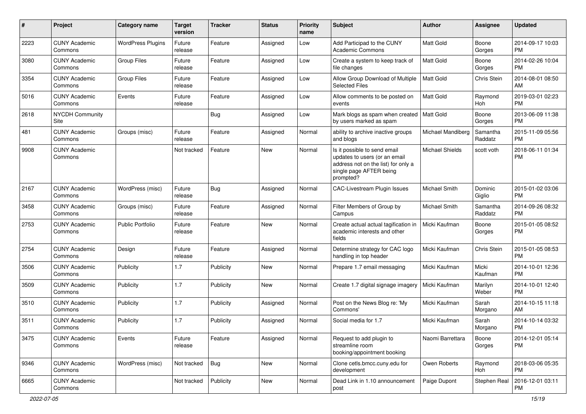| #    | Project                         | Category name            | <b>Target</b><br>version | Tracker   | <b>Status</b> | <b>Priority</b><br>name | <b>Subject</b>                                                                                                                               | Author               | Assignee            | <b>Updated</b>                |
|------|---------------------------------|--------------------------|--------------------------|-----------|---------------|-------------------------|----------------------------------------------------------------------------------------------------------------------------------------------|----------------------|---------------------|-------------------------------|
| 2223 | <b>CUNY Academic</b><br>Commons | <b>WordPress Plugins</b> | Future<br>release        | Feature   | Assigned      | Low                     | Add Participad to the CUNY<br><b>Academic Commons</b>                                                                                        | <b>Matt Gold</b>     | Boone<br>Gorges     | 2014-09-17 10:03<br><b>PM</b> |
| 3080 | <b>CUNY Academic</b><br>Commons | <b>Group Files</b>       | Future<br>release        | Feature   | Assigned      | Low                     | Create a system to keep track of<br>file changes                                                                                             | Matt Gold            | Boone<br>Gorges     | 2014-02-26 10:04<br><b>PM</b> |
| 3354 | <b>CUNY Academic</b><br>Commons | <b>Group Files</b>       | Future<br>release        | Feature   | Assigned      | Low                     | Allow Group Download of Multiple<br><b>Selected Files</b>                                                                                    | <b>Matt Gold</b>     | Chris Stein         | 2014-08-01 08:50<br>AM        |
| 5016 | <b>CUNY Academic</b><br>Commons | Events                   | Future<br>release        | Feature   | Assigned      | Low                     | Allow comments to be posted on<br>events                                                                                                     | Matt Gold            | Raymond<br>Hoh      | 2019-03-01 02:23<br><b>PM</b> |
| 2618 | NYCDH Community<br>Site         |                          |                          | Bug       | Assigned      | Low                     | Mark blogs as spam when created   Matt Gold<br>by users marked as spam                                                                       |                      | Boone<br>Gorges     | 2013-06-09 11:38<br><b>PM</b> |
| 481  | <b>CUNY Academic</b><br>Commons | Groups (misc)            | Future<br>release        | Feature   | Assigned      | Normal                  | ability to archive inactive groups<br>and blogs                                                                                              | Michael Mandiberg    | Samantha<br>Raddatz | 2015-11-09 05:56<br><b>PM</b> |
| 9908 | <b>CUNY Academic</b><br>Commons |                          | Not tracked              | Feature   | New           | Normal                  | Is it possible to send email<br>updates to users (or an email<br>address not on the list) for only a<br>single page AFTER being<br>prompted? | Michael Shields      | scott voth          | 2018-06-11 01:34<br><b>PM</b> |
| 2167 | <b>CUNY Academic</b><br>Commons | WordPress (misc)         | Future<br>release        | Bug       | Assigned      | Normal                  | CAC-Livestream Plugin Issues                                                                                                                 | <b>Michael Smith</b> | Dominic<br>Giglio   | 2015-01-02 03:06<br><b>PM</b> |
| 3458 | <b>CUNY Academic</b><br>Commons | Groups (misc)            | Future<br>release        | Feature   | Assigned      | Normal                  | Filter Members of Group by<br>Campus                                                                                                         | Michael Smith        | Samantha<br>Raddatz | 2014-09-26 08:32<br><b>PM</b> |
| 2753 | <b>CUNY Academic</b><br>Commons | <b>Public Portfolio</b>  | Future<br>release        | Feature   | New           | Normal                  | Create actual actual tagification in<br>academic interests and other<br>fields                                                               | Micki Kaufman        | Boone<br>Gorges     | 2015-01-05 08:52<br><b>PM</b> |
| 2754 | <b>CUNY Academic</b><br>Commons | Design                   | Future<br>release        | Feature   | Assigned      | Normal                  | Determine strategy for CAC logo<br>handling in top header                                                                                    | Micki Kaufman        | Chris Stein         | 2015-01-05 08:53<br><b>PM</b> |
| 3506 | <b>CUNY Academic</b><br>Commons | Publicity                | 1.7                      | Publicity | <b>New</b>    | Normal                  | Prepare 1.7 email messaging                                                                                                                  | Micki Kaufman        | Micki<br>Kaufman    | 2014-10-01 12:36<br><b>PM</b> |
| 3509 | <b>CUNY Academic</b><br>Commons | Publicity                | 1.7                      | Publicity | <b>New</b>    | Normal                  | Create 1.7 digital signage imagery                                                                                                           | Micki Kaufman        | Marilyn<br>Weber    | 2014-10-01 12:40<br><b>PM</b> |
| 3510 | <b>CUNY Academic</b><br>Commons | Publicity                | 1.7                      | Publicity | Assigned      | Normal                  | Post on the News Blog re: 'My<br>Commons'                                                                                                    | Micki Kaufman        | Sarah<br>Morgano    | 2014-10-15 11:18<br>AM        |
| 3511 | <b>CUNY Academic</b><br>Commons | Publicity                | 1.7                      | Publicity | Assigned      | Normal                  | Social media for 1.7                                                                                                                         | Micki Kaufman        | Sarah<br>Morgano    | 2014-10-14 03:32<br><b>PM</b> |
| 3475 | <b>CUNY Academic</b><br>Commons | Events                   | Future<br>release        | Feature   | Assigned      | Normal                  | Request to add plugin to<br>streamline room<br>booking/appointment booking                                                                   | Naomi Barrettara     | Boone<br>Gorges     | 2014-12-01 05:14<br><b>PM</b> |
| 9346 | <b>CUNY Academic</b><br>Commons | WordPress (misc)         | Not tracked              | Bug       | New           | Normal                  | Clone cetls.bmcc.cuny.edu for<br>development                                                                                                 | Owen Roberts         | Raymond<br>Hoh      | 2018-03-06 05:35<br>PM.       |
| 6665 | <b>CUNY Academic</b><br>Commons |                          | Not tracked              | Publicity | New           | Normal                  | Dead Link in 1.10 announcement<br>post                                                                                                       | Paige Dupont         | Stephen Real        | 2016-12-01 03:11<br>PM        |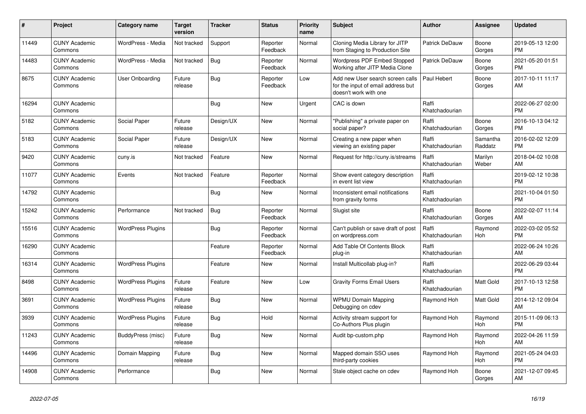| #     | Project                         | <b>Category name</b>     | <b>Target</b><br>version | <b>Tracker</b> | <b>Status</b>        | <b>Priority</b><br>name | <b>Subject</b>                                                                                  | <b>Author</b>           | Assignee              | <b>Updated</b>                |
|-------|---------------------------------|--------------------------|--------------------------|----------------|----------------------|-------------------------|-------------------------------------------------------------------------------------------------|-------------------------|-----------------------|-------------------------------|
| 11449 | <b>CUNY Academic</b><br>Commons | WordPress - Media        | Not tracked              | Support        | Reporter<br>Feedback | Normal                  | Cloning Media Library for JITP<br>from Staging to Production Site                               | Patrick DeDauw          | Boone<br>Gorges       | 2019-05-13 12:00<br><b>PM</b> |
| 14483 | <b>CUNY Academic</b><br>Commons | WordPress - Media        | Not tracked              | Bug            | Reporter<br>Feedback | Normal                  | Wordpress PDF Embed Stopped<br>Working after JITP Media Clone                                   | Patrick DeDauw          | Boone<br>Gorges       | 2021-05-20 01:51<br><b>PM</b> |
| 8675  | <b>CUNY Academic</b><br>Commons | User Onboarding          | Future<br>release        | Bug            | Reporter<br>Feedback | Low                     | Add new User search screen calls<br>for the input of email address but<br>doesn't work with one | Paul Hebert             | Boone<br>Gorges       | 2017-10-11 11:17<br>AM        |
| 16294 | <b>CUNY Academic</b><br>Commons |                          |                          | Bug            | <b>New</b>           | Urgent                  | CAC is down                                                                                     | Raffi<br>Khatchadourian |                       | 2022-06-27 02:00<br><b>PM</b> |
| 5182  | <b>CUNY Academic</b><br>Commons | Social Paper             | Future<br>release        | Design/UX      | New                  | Normal                  | "Publishing" a private paper on<br>social paper?                                                | Raffi<br>Khatchadourian | Boone<br>Gorges       | 2016-10-13 04:12<br><b>PM</b> |
| 5183  | <b>CUNY Academic</b><br>Commons | Social Paper             | Future<br>release        | Design/UX      | New                  | Normal                  | Creating a new paper when<br>viewing an existing paper                                          | Raffi<br>Khatchadourian | Samantha<br>Raddatz   | 2016-02-02 12:09<br><b>PM</b> |
| 9420  | <b>CUNY Academic</b><br>Commons | cuny.is                  | Not tracked              | Feature        | <b>New</b>           | Normal                  | Request for http://cuny.is/streams                                                              | Raffi<br>Khatchadourian | Marilyn<br>Weber      | 2018-04-02 10:08<br>AM        |
| 11077 | <b>CUNY Academic</b><br>Commons | Events                   | Not tracked              | Feature        | Reporter<br>Feedback | Normal                  | Show event category description<br>in event list view                                           | Raffi<br>Khatchadourian |                       | 2019-02-12 10:38<br><b>PM</b> |
| 14792 | <b>CUNY Academic</b><br>Commons |                          |                          | Bug            | New                  | Normal                  | Inconsistent email notifications<br>from gravity forms                                          | Raffi<br>Khatchadourian |                       | 2021-10-04 01:50<br><b>PM</b> |
| 15242 | <b>CUNY Academic</b><br>Commons | Performance              | Not tracked              | Bug            | Reporter<br>Feedback | Normal                  | Slugist site                                                                                    | Raffi<br>Khatchadourian | Boone<br>Gorges       | 2022-02-07 11:14<br>AM        |
| 15516 | <b>CUNY Academic</b><br>Commons | <b>WordPress Plugins</b> |                          | Bug            | Reporter<br>Feedback | Normal                  | Can't publish or save draft of post<br>on wordpress.com                                         | Raffi<br>Khatchadourian | Raymond<br><b>Hoh</b> | 2022-03-02 05:52<br><b>PM</b> |
| 16290 | <b>CUNY Academic</b><br>Commons |                          |                          | Feature        | Reporter<br>Feedback | Normal                  | Add Table Of Contents Block<br>plug-in                                                          | Raffi<br>Khatchadourian |                       | 2022-06-24 10:26<br>AM        |
| 16314 | <b>CUNY Academic</b><br>Commons | <b>WordPress Plugins</b> |                          | Feature        | New                  | Normal                  | Install Multicollab plug-in?                                                                    | Raffi<br>Khatchadourian |                       | 2022-06-29 03:44<br><b>PM</b> |
| 8498  | <b>CUNY Academic</b><br>Commons | <b>WordPress Plugins</b> | Future<br>release        | Feature        | New                  | Low                     | <b>Gravity Forms Email Users</b>                                                                | Raffi<br>Khatchadourian | Matt Gold             | 2017-10-13 12:58<br><b>PM</b> |
| 3691  | <b>CUNY Academic</b><br>Commons | <b>WordPress Plugins</b> | Future<br>release        | Bug            | <b>New</b>           | Normal                  | <b>WPMU Domain Mapping</b><br>Debugging on cdev                                                 | Raymond Hoh             | Matt Gold             | 2014-12-12 09:04<br>AM        |
| 3939  | <b>CUNY Academic</b><br>Commons | <b>WordPress Plugins</b> | Future<br>release        | Bug            | Hold                 | Normal                  | Activity stream support for<br>Co-Authors Plus plugin                                           | Raymond Hoh             | Raymond<br>Hoh        | 2015-11-09 06:13<br><b>PM</b> |
| 11243 | <b>CUNY Academic</b><br>Commons | BuddyPress (misc)        | Future<br>release        | Bug            | <b>New</b>           | Normal                  | Audit bp-custom.php                                                                             | Raymond Hoh             | Raymond<br>Hoh        | 2022-04-26 11:59<br>AM        |
| 14496 | <b>CUNY Academic</b><br>Commons | Domain Mapping           | Future<br>release        | Bug            | New                  | Normal                  | Mapped domain SSO uses<br>third-party cookies                                                   | Raymond Hoh             | Raymond<br>Hoh        | 2021-05-24 04:03<br><b>PM</b> |
| 14908 | <b>CUNY Academic</b><br>Commons | Performance              |                          | <b>Bug</b>     | <b>New</b>           | Normal                  | Stale object cache on cdev                                                                      | Raymond Hoh             | Boone<br>Gorges       | 2021-12-07 09:45<br>AM        |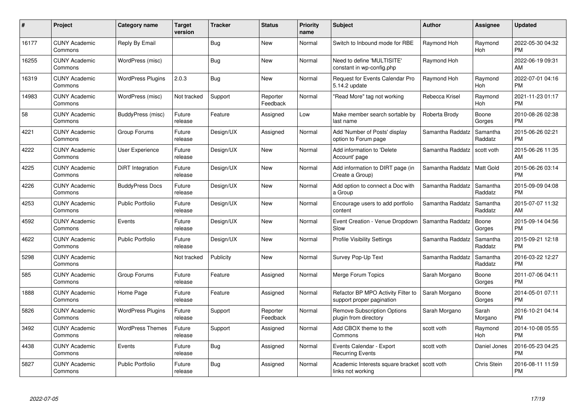| #     | Project                         | <b>Category name</b>     | <b>Target</b><br>version | <b>Tracker</b> | <b>Status</b>        | Priority<br>name | <b>Subject</b>                                                  | <b>Author</b>    | <b>Assignee</b>     | <b>Updated</b>                |
|-------|---------------------------------|--------------------------|--------------------------|----------------|----------------------|------------------|-----------------------------------------------------------------|------------------|---------------------|-------------------------------|
| 16177 | <b>CUNY Academic</b><br>Commons | Reply By Email           |                          | Bug            | <b>New</b>           | Normal           | Switch to Inbound mode for RBE                                  | Raymond Hoh      | Raymond<br>Hoh      | 2022-05-30 04:32<br><b>PM</b> |
| 16255 | <b>CUNY Academic</b><br>Commons | WordPress (misc)         |                          | <b>Bug</b>     | <b>New</b>           | Normal           | Need to define 'MULTISITE'<br>constant in wp-config.php         | Raymond Hoh      |                     | 2022-06-19 09:31<br>AM        |
| 16319 | <b>CUNY Academic</b><br>Commons | <b>WordPress Plugins</b> | 2.0.3                    | Bug            | <b>New</b>           | Normal           | Request for Events Calendar Pro<br>5.14.2 update                | Raymond Hoh      | Raymond<br>Hoh      | 2022-07-01 04:16<br><b>PM</b> |
| 14983 | <b>CUNY Academic</b><br>Commons | WordPress (misc)         | Not tracked              | Support        | Reporter<br>Feedback | Normal           | "Read More" tag not working                                     | Rebecca Krisel   | Raymond<br>Hoh      | 2021-11-23 01:17<br><b>PM</b> |
| 58    | <b>CUNY Academic</b><br>Commons | BuddyPress (misc)        | Future<br>release        | Feature        | Assigned             | Low              | Make member search sortable by<br>last name                     | Roberta Brody    | Boone<br>Gorges     | 2010-08-26 02:38<br><b>PM</b> |
| 4221  | <b>CUNY Academic</b><br>Commons | Group Forums             | Future<br>release        | Design/UX      | Assigned             | Normal           | Add 'Number of Posts' display<br>option to Forum page           | Samantha Raddatz | Samantha<br>Raddatz | 2015-06-26 02:21<br><b>PM</b> |
| 4222  | <b>CUNY Academic</b><br>Commons | User Experience          | Future<br>release        | Design/UX      | New                  | Normal           | Add information to 'Delete<br>Account' page                     | Samantha Raddatz | scott voth          | 2015-06-26 11:35<br>AM        |
| 4225  | <b>CUNY Academic</b><br>Commons | DiRT Integration         | Future<br>release        | Design/UX      | <b>New</b>           | Normal           | Add information to DIRT page (in<br>Create a Group)             | Samantha Raddatz | <b>Matt Gold</b>    | 2015-06-26 03:14<br><b>PM</b> |
| 4226  | <b>CUNY Academic</b><br>Commons | <b>BuddyPress Docs</b>   | Future<br>release        | Design/UX      | <b>New</b>           | Normal           | Add option to connect a Doc with<br>a Group                     | Samantha Raddatz | Samantha<br>Raddatz | 2015-09-09 04:08<br><b>PM</b> |
| 4253  | <b>CUNY Academic</b><br>Commons | <b>Public Portfolio</b>  | Future<br>release        | Design/UX      | New                  | Normal           | Encourage users to add portfolio<br>content                     | Samantha Raddatz | Samantha<br>Raddatz | 2015-07-07 11:32<br>AM        |
| 4592  | <b>CUNY Academic</b><br>Commons | Events                   | Future<br>release        | Design/UX      | <b>New</b>           | Normal           | Event Creation - Venue Dropdown<br>Slow                         | Samantha Raddatz | Boone<br>Gorges     | 2015-09-14 04:56<br><b>PM</b> |
| 4622  | <b>CUNY Academic</b><br>Commons | <b>Public Portfolio</b>  | Future<br>release        | Design/UX      | New                  | Normal           | <b>Profile Visibility Settings</b>                              | Samantha Raddatz | Samantha<br>Raddatz | 2015-09-21 12:18<br><b>PM</b> |
| 5298  | <b>CUNY Academic</b><br>Commons |                          | Not tracked              | Publicity      | <b>New</b>           | Normal           | Survey Pop-Up Text                                              | Samantha Raddatz | Samantha<br>Raddatz | 2016-03-22 12:27<br><b>PM</b> |
| 585   | <b>CUNY Academic</b><br>Commons | Group Forums             | Future<br>release        | Feature        | Assigned             | Normal           | Merge Forum Topics                                              | Sarah Morgano    | Boone<br>Gorges     | 2011-07-06 04:11<br><b>PM</b> |
| 1888  | <b>CUNY Academic</b><br>Commons | Home Page                | Future<br>release        | Feature        | Assigned             | Normal           | Refactor BP MPO Activity Filter to<br>support proper pagination | Sarah Morgano    | Boone<br>Gorges     | 2014-05-01 07:11<br><b>PM</b> |
| 5826  | <b>CUNY Academic</b><br>Commons | <b>WordPress Plugins</b> | Future<br>release        | Support        | Reporter<br>Feedback | Normal           | <b>Remove Subscription Options</b><br>plugin from directory     | Sarah Morgano    | Sarah<br>Morgano    | 2016-10-21 04:14<br><b>PM</b> |
| 3492  | <b>CUNY Academic</b><br>Commons | <b>WordPress Themes</b>  | Future<br>release        | Support        | Assigned             | Normal           | Add CBOX theme to the<br>Commons                                | scott voth       | Raymond<br>Hoh      | 2014-10-08 05:55<br><b>PM</b> |
| 4438  | <b>CUNY Academic</b><br>Commons | Events                   | Future<br>release        | Bug            | Assigned             | Normal           | Events Calendar - Export<br><b>Recurring Events</b>             | scott voth       | Daniel Jones        | 2016-05-23 04:25<br><b>PM</b> |
| 5827  | <b>CUNY Academic</b><br>Commons | <b>Public Portfolio</b>  | Future<br>release        | <b>Bug</b>     | Assigned             | Normal           | Academic Interests square bracket<br>links not working          | scott voth       | <b>Chris Stein</b>  | 2016-08-11 11:59<br><b>PM</b> |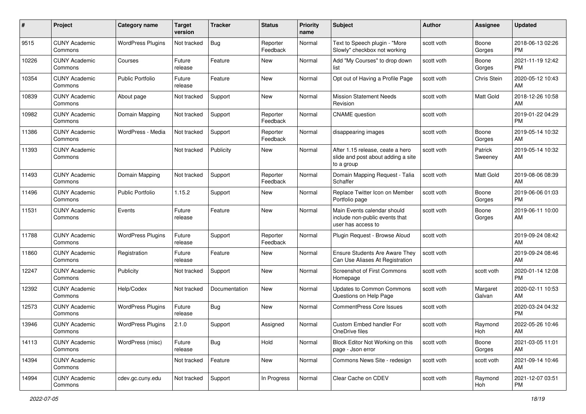| #     | Project                         | <b>Category name</b>     | <b>Target</b><br>version | <b>Tracker</b> | <b>Status</b>        | <b>Priority</b><br>name | Subject                                                                              | Author     | <b>Assignee</b>    | <b>Updated</b>                |
|-------|---------------------------------|--------------------------|--------------------------|----------------|----------------------|-------------------------|--------------------------------------------------------------------------------------|------------|--------------------|-------------------------------|
| 9515  | <b>CUNY Academic</b><br>Commons | <b>WordPress Plugins</b> | Not tracked              | Bug            | Reporter<br>Feedback | Normal                  | Text to Speech plugin - "More<br>Slowly" checkbox not working                        | scott voth | Boone<br>Gorges    | 2018-06-13 02:26<br><b>PM</b> |
| 10226 | <b>CUNY Academic</b><br>Commons | Courses                  | Future<br>release        | Feature        | New                  | Normal                  | Add "My Courses" to drop down<br>list                                                | scott voth | Boone<br>Gorges    | 2021-11-19 12:42<br><b>PM</b> |
| 10354 | <b>CUNY Academic</b><br>Commons | <b>Public Portfolio</b>  | Future<br>release        | Feature        | New                  | Normal                  | Opt out of Having a Profile Page                                                     | scott voth | Chris Stein        | 2020-05-12 10:43<br>AM        |
| 10839 | <b>CUNY Academic</b><br>Commons | About page               | Not tracked              | Support        | <b>New</b>           | Normal                  | <b>Mission Statement Needs</b><br>Revision                                           | scott voth | Matt Gold          | 2018-12-26 10:58<br>AM        |
| 10982 | <b>CUNY Academic</b><br>Commons | Domain Mapping           | Not tracked              | Support        | Reporter<br>Feedback | Normal                  | <b>CNAME</b> question                                                                | scott voth |                    | 2019-01-22 04:29<br><b>PM</b> |
| 11386 | <b>CUNY Academic</b><br>Commons | WordPress - Media        | Not tracked              | Support        | Reporter<br>Feedback | Normal                  | disappearing images                                                                  | scott voth | Boone<br>Gorges    | 2019-05-14 10:32<br>AM        |
| 11393 | <b>CUNY Academic</b><br>Commons |                          | Not tracked              | Publicity      | New                  | Normal                  | After 1.15 release, ceate a hero<br>slide and post about adding a site<br>to a group | scott voth | Patrick<br>Sweeney | 2019-05-14 10:32<br>AM        |
| 11493 | <b>CUNY Academic</b><br>Commons | Domain Mapping           | Not tracked              | Support        | Reporter<br>Feedback | Normal                  | Domain Mapping Request - Talia<br>Schaffer                                           | scott voth | Matt Gold          | 2019-08-06 08:39<br>AM        |
| 11496 | <b>CUNY Academic</b><br>Commons | Public Portfolio         | 1.15.2                   | Support        | New                  | Normal                  | Replace Twitter Icon on Member<br>Portfolio page                                     | scott voth | Boone<br>Gorges    | 2019-06-06 01:03<br><b>PM</b> |
| 11531 | <b>CUNY Academic</b><br>Commons | Events                   | Future<br>release        | Feature        | New                  | Normal                  | Main Events calendar should<br>include non-public events that<br>user has access to  | scott voth | Boone<br>Gorges    | 2019-06-11 10:00<br>AM        |
| 11788 | <b>CUNY Academic</b><br>Commons | <b>WordPress Plugins</b> | Future<br>release        | Support        | Reporter<br>Feedback | Normal                  | Plugin Request - Browse Aloud                                                        | scott voth |                    | 2019-09-24 08:42<br>AM        |
| 11860 | <b>CUNY Academic</b><br>Commons | Registration             | Future<br>release        | Feature        | New                  | Normal                  | Ensure Students Are Aware They<br>Can Use Aliases At Registration                    | scott voth |                    | 2019-09-24 08:46<br>AM        |
| 12247 | <b>CUNY Academic</b><br>Commons | Publicity                | Not tracked              | Support        | <b>New</b>           | Normal                  | Screenshot of First Commons<br>Homepage                                              | scott voth | scott voth         | 2020-01-14 12:08<br><b>PM</b> |
| 12392 | <b>CUNY Academic</b><br>Commons | Help/Codex               | Not tracked              | Documentation  | <b>New</b>           | Normal                  | <b>Updates to Common Commons</b><br>Questions on Help Page                           | scott voth | Margaret<br>Galvan | 2020-02-11 10:53<br>AM        |
| 12573 | <b>CUNY Academic</b><br>Commons | <b>WordPress Plugins</b> | Future<br>release        | Bug            | New                  | Normal                  | <b>CommentPress Core Issues</b>                                                      | scott voth |                    | 2020-03-24 04:32<br><b>PM</b> |
| 13946 | CUNY Academic<br>Commons        | <b>WordPress Plugins</b> | 2.1.0                    | Support        | Assigned             | Normal                  | Custom Embed handler For<br>OneDrive files                                           | scott voth | Raymond<br>Hoh     | 2022-05-26 10:46<br>AM        |
| 14113 | <b>CUNY Academic</b><br>Commons | WordPress (misc)         | Future<br>release        | Bug            | Hold                 | Normal                  | Block Editor Not Working on this<br>page - Json error                                | scott voth | Boone<br>Gorges    | 2021-03-05 11:01<br>AM        |
| 14394 | <b>CUNY Academic</b><br>Commons |                          | Not tracked              | Feature        | New                  | Normal                  | Commons News Site - redesign                                                         | scott voth | scott voth         | 2021-09-14 10:46<br>AM        |
| 14994 | <b>CUNY Academic</b><br>Commons | cdev.gc.cuny.edu         | Not tracked              | Support        | In Progress          | Normal                  | Clear Cache on CDEV                                                                  | scott voth | Raymond<br>Hoh     | 2021-12-07 03:51<br><b>PM</b> |